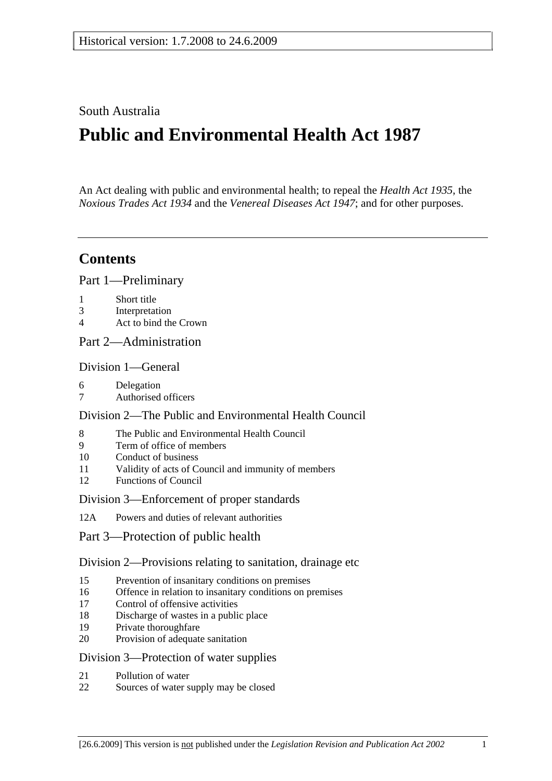South Australia

# **Public and Environmental Health Act 1987**

An Act dealing with public and environmental health; to repeal the *Health Act 1935*, the *Noxious Trades Act 1934* and the *Venereal Diseases Act 1947*; and for other purposes.

## **Contents**

Part 1—Preliminary

- 1 Short title
- 3 Interpretation
- 4 Act to bind the Crown
- Part 2—Administration

#### Division 1—General

- 6 Delegation
- 7 Authorised officers

#### Division 2—The Public and Environmental Health Council

- 8 The Public and Environmental Health Council
- 9 Term of office of members
- 10 Conduct of business
- 11 Validity of acts of Council and immunity of members
- 12 Functions of Council

#### Division 3—Enforcement of proper standards

- 12A Powers and duties of relevant authorities
- Part 3—Protection of public health

#### Division 2—Provisions relating to sanitation, drainage etc

- 15 Prevention of insanitary conditions on premises
- 16 Offence in relation to insanitary conditions on premises
- 17 Control of offensive activities
- 18 Discharge of wastes in a public place
- 19 Private thoroughfare
- 20 Provision of adequate sanitation

#### Division 3—Protection of water supplies

- 21 Pollution of water
- 22 Sources of water supply may be closed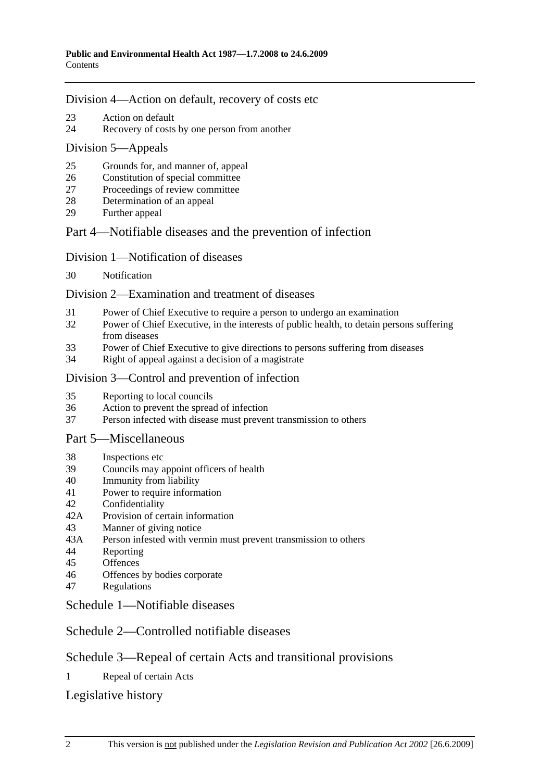#### Division 4—Action on default, recovery of costs etc

- 23 Action on default
- 24 Recovery of costs by one person from another

#### Division 5—Appeals

- 25 Grounds for, and manner of, appeal
- 26 Constitution of special committee
- 27 Proceedings of review committee
- 28 Determination of an appeal
- 29 Further appeal

### Part 4—Notifiable diseases and the prevention of infection

#### Division 1—Notification of diseases

30 Notification

#### Division 2—Examination and treatment of diseases

- 31 Power of Chief Executive to require a person to undergo an examination
- 32 Power of Chief Executive, in the interests of public health, to detain persons suffering from diseases
- 33 Power of Chief Executive to give directions to persons suffering from diseases
- 34 Right of appeal against a decision of a magistrate

### Division 3—Control and prevention of infection

- 35 Reporting to local councils
- 36 Action to prevent the spread of infection
- 37 Person infected with disease must prevent transmission to others

#### Part 5—Miscellaneous

- 38 Inspections etc
- 39 Councils may appoint officers of health
- 40 Immunity from liability
- 41 Power to require information
- 42 Confidentiality
- 42A Provision of certain information
- 43 Manner of giving notice
- 43A Person infested with vermin must prevent transmission to others
- 44 Reporting
- 45 Offences
- 46 Offences by bodies corporate
- 47 Regulations

#### Schedule 1—Notifiable diseases

## Schedule 2—Controlled notifiable diseases

## Schedule 3—Repeal of certain Acts and transitional provisions

1 Repeal of certain Acts

## Legislative history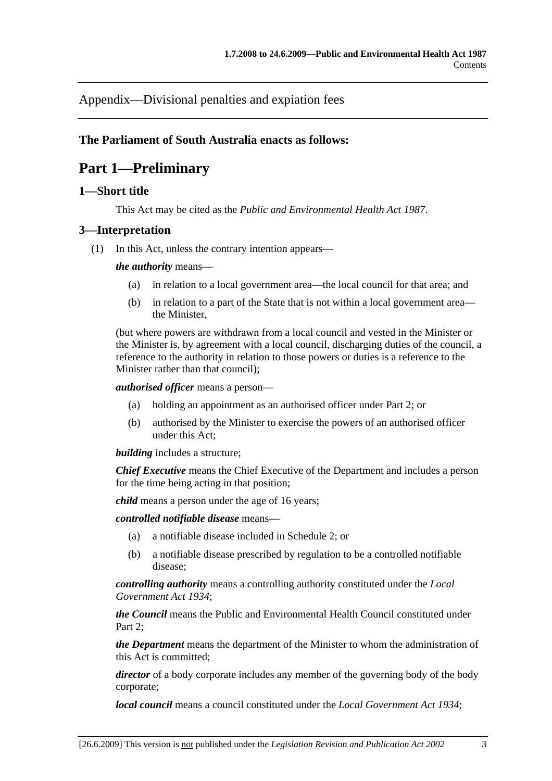Appendix—Divisional penalties and expiation fees

### **The Parliament of South Australia enacts as follows:**

## **Part 1—Preliminary**

#### **1—Short title**

This Act may be cited as the *Public and Environmental Health Act 1987*.

#### **3—Interpretation**

(1) In this Act, unless the contrary intention appears—

#### *the authority* means—

- (a) in relation to a local government area—the local council for that area; and
- (b) in relation to a part of the State that is not within a local government area the Minister,

(but where powers are withdrawn from a local council and vested in the Minister or the Minister is, by agreement with a local council, discharging duties of the council, a reference to the authority in relation to those powers or duties is a reference to the Minister rather than that council);

*authorised officer* means a person—

- (a) holding an appointment as an authorised officer under Part 2; or
- (b) authorised by the Minister to exercise the powers of an authorised officer under this Act;

*building* includes a structure;

*Chief Executive* means the Chief Executive of the Department and includes a person for the time being acting in that position;

*child* means a person under the age of 16 years;

*controlled notifiable disease* means—

- (a) a notifiable disease included in Schedule 2; or
- (b) a notifiable disease prescribed by regulation to be a controlled notifiable disease;

*controlling authority* means a controlling authority constituted under the *Local Government Act 1934*;

*the Council* means the Public and Environmental Health Council constituted under Part 2:

*the Department* means the department of the Minister to whom the administration of this Act is committed;

*director* of a body corporate includes any member of the governing body of the body corporate;

*local council* means a council constituted under the *Local Government Act 1934*;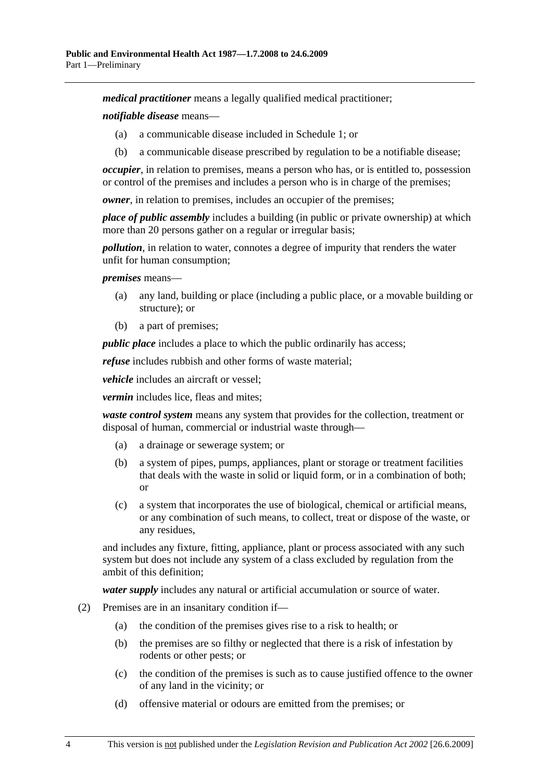*medical practitioner* means a legally qualified medical practitioner;

*notifiable disease* means—

- (a) a communicable disease included in Schedule 1; or
- (b) a communicable disease prescribed by regulation to be a notifiable disease;

*occupier*, in relation to premises, means a person who has, or is entitled to, possession or control of the premises and includes a person who is in charge of the premises;

*owner*, in relation to premises, includes an occupier of the premises;

*place of public assembly* includes a building (in public or private ownership) at which more than 20 persons gather on a regular or irregular basis;

*pollution*, in relation to water, connotes a degree of impurity that renders the water unfit for human consumption;

*premises* means—

- (a) any land, building or place (including a public place, or a movable building or structure); or
- (b) a part of premises;

*public place* includes a place to which the public ordinarily has access;

*refuse* includes rubbish and other forms of waste material;

*vehicle* includes an aircraft or vessel;

*vermin* includes lice, fleas and mites;

*waste control system* means any system that provides for the collection, treatment or disposal of human, commercial or industrial waste through—

- (a) a drainage or sewerage system; or
- (b) a system of pipes, pumps, appliances, plant or storage or treatment facilities that deals with the waste in solid or liquid form, or in a combination of both; or
- (c) a system that incorporates the use of biological, chemical or artificial means, or any combination of such means, to collect, treat or dispose of the waste, or any residues,

and includes any fixture, fitting, appliance, plant or process associated with any such system but does not include any system of a class excluded by regulation from the ambit of this definition;

*water supply* includes any natural or artificial accumulation or source of water.

- (2) Premises are in an insanitary condition if—
	- (a) the condition of the premises gives rise to a risk to health; or
	- (b) the premises are so filthy or neglected that there is a risk of infestation by rodents or other pests; or
	- (c) the condition of the premises is such as to cause justified offence to the owner of any land in the vicinity; or
	- (d) offensive material or odours are emitted from the premises; or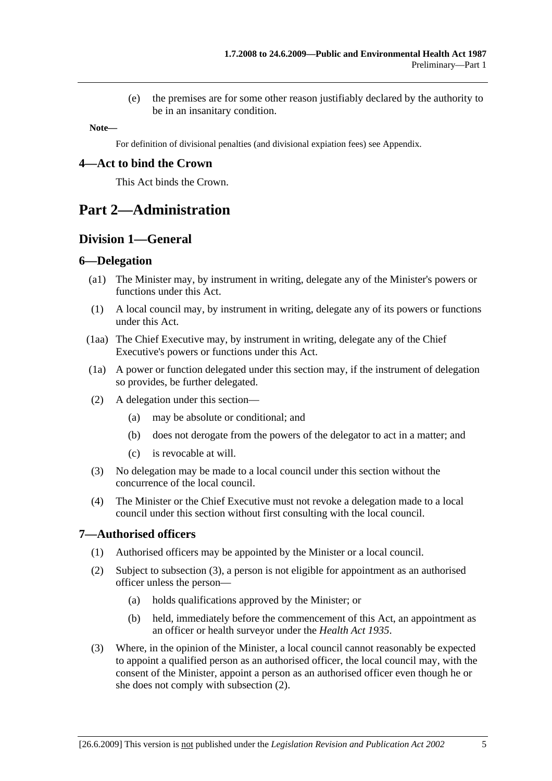(e) the premises are for some other reason justifiably declared by the authority to be in an insanitary condition.

**Note—** 

For definition of divisional penalties (and divisional expiation fees) see Appendix.

#### **4—Act to bind the Crown**

This Act binds the Crown.

## **Part 2—Administration**

### **Division 1—General**

#### **6—Delegation**

- (a1) The Minister may, by instrument in writing, delegate any of the Minister's powers or functions under this Act.
- (1) A local council may, by instrument in writing, delegate any of its powers or functions under this Act.
- (1aa) The Chief Executive may, by instrument in writing, delegate any of the Chief Executive's powers or functions under this Act.
- (1a) A power or function delegated under this section may, if the instrument of delegation so provides, be further delegated.
- (2) A delegation under this section—
	- (a) may be absolute or conditional; and
	- (b) does not derogate from the powers of the delegator to act in a matter; and
	- (c) is revocable at will.
- (3) No delegation may be made to a local council under this section without the concurrence of the local council.
- (4) The Minister or the Chief Executive must not revoke a delegation made to a local council under this section without first consulting with the local council.

#### **7—Authorised officers**

- (1) Authorised officers may be appointed by the Minister or a local council.
- (2) Subject to subsection (3), a person is not eligible for appointment as an authorised officer unless the person—
	- (a) holds qualifications approved by the Minister; or
	- (b) held, immediately before the commencement of this Act, an appointment as an officer or health surveyor under the *Health Act 1935*.
- (3) Where, in the opinion of the Minister, a local council cannot reasonably be expected to appoint a qualified person as an authorised officer, the local council may, with the consent of the Minister, appoint a person as an authorised officer even though he or she does not comply with subsection (2).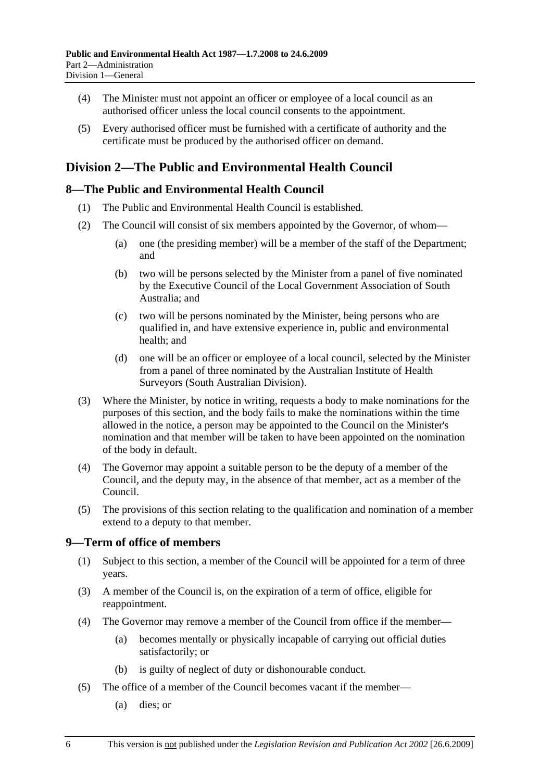- (4) The Minister must not appoint an officer or employee of a local council as an authorised officer unless the local council consents to the appointment.
- (5) Every authorised officer must be furnished with a certificate of authority and the certificate must be produced by the authorised officer on demand.

## **Division 2—The Public and Environmental Health Council**

#### **8—The Public and Environmental Health Council**

- (1) The Public and Environmental Health Council is established.
- (2) The Council will consist of six members appointed by the Governor, of whom—
	- (a) one (the presiding member) will be a member of the staff of the Department; and
	- (b) two will be persons selected by the Minister from a panel of five nominated by the Executive Council of the Local Government Association of South Australia; and
	- (c) two will be persons nominated by the Minister, being persons who are qualified in, and have extensive experience in, public and environmental health; and
	- (d) one will be an officer or employee of a local council, selected by the Minister from a panel of three nominated by the Australian Institute of Health Surveyors (South Australian Division).
- (3) Where the Minister, by notice in writing, requests a body to make nominations for the purposes of this section, and the body fails to make the nominations within the time allowed in the notice, a person may be appointed to the Council on the Minister's nomination and that member will be taken to have been appointed on the nomination of the body in default.
- (4) The Governor may appoint a suitable person to be the deputy of a member of the Council, and the deputy may, in the absence of that member, act as a member of the Council.
- (5) The provisions of this section relating to the qualification and nomination of a member extend to a deputy to that member.

#### **9—Term of office of members**

- (1) Subject to this section, a member of the Council will be appointed for a term of three years.
- (3) A member of the Council is, on the expiration of a term of office, eligible for reappointment.
- (4) The Governor may remove a member of the Council from office if the member—
	- (a) becomes mentally or physically incapable of carrying out official duties satisfactorily; or
	- (b) is guilty of neglect of duty or dishonourable conduct.
- (5) The office of a member of the Council becomes vacant if the member—
	- (a) dies; or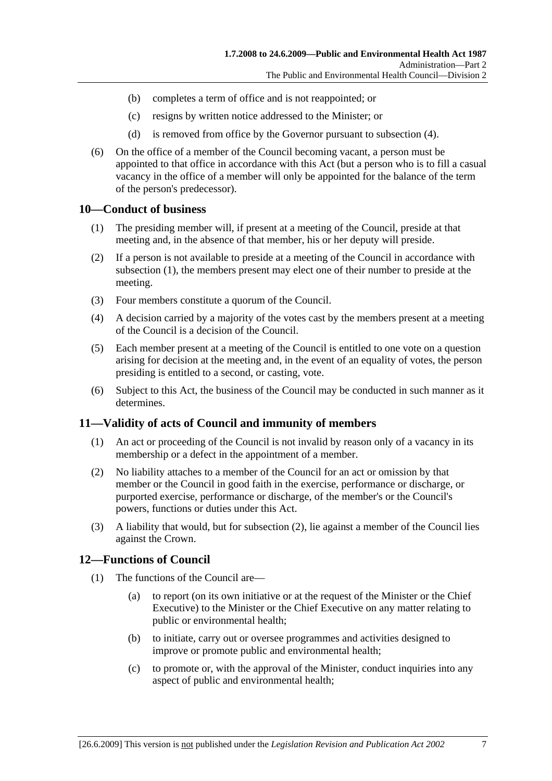- (b) completes a term of office and is not reappointed; or
- (c) resigns by written notice addressed to the Minister; or
- (d) is removed from office by the Governor pursuant to subsection (4).
- (6) On the office of a member of the Council becoming vacant, a person must be appointed to that office in accordance with this Act (but a person who is to fill a casual vacancy in the office of a member will only be appointed for the balance of the term of the person's predecessor).

#### **10—Conduct of business**

- (1) The presiding member will, if present at a meeting of the Council, preside at that meeting and, in the absence of that member, his or her deputy will preside.
- (2) If a person is not available to preside at a meeting of the Council in accordance with subsection (1), the members present may elect one of their number to preside at the meeting.
- (3) Four members constitute a quorum of the Council.
- (4) A decision carried by a majority of the votes cast by the members present at a meeting of the Council is a decision of the Council.
- (5) Each member present at a meeting of the Council is entitled to one vote on a question arising for decision at the meeting and, in the event of an equality of votes, the person presiding is entitled to a second, or casting, vote.
- (6) Subject to this Act, the business of the Council may be conducted in such manner as it determines.

#### **11—Validity of acts of Council and immunity of members**

- (1) An act or proceeding of the Council is not invalid by reason only of a vacancy in its membership or a defect in the appointment of a member.
- (2) No liability attaches to a member of the Council for an act or omission by that member or the Council in good faith in the exercise, performance or discharge, or purported exercise, performance or discharge, of the member's or the Council's powers, functions or duties under this Act.
- (3) A liability that would, but for subsection (2), lie against a member of the Council lies against the Crown.

#### **12—Functions of Council**

- (1) The functions of the Council are—
	- (a) to report (on its own initiative or at the request of the Minister or the Chief Executive) to the Minister or the Chief Executive on any matter relating to public or environmental health;
	- (b) to initiate, carry out or oversee programmes and activities designed to improve or promote public and environmental health;
	- (c) to promote or, with the approval of the Minister, conduct inquiries into any aspect of public and environmental health;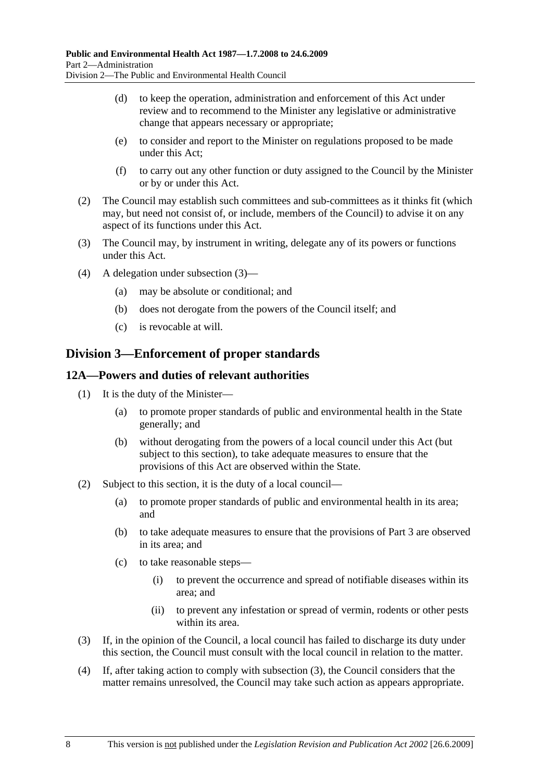- (d) to keep the operation, administration and enforcement of this Act under review and to recommend to the Minister any legislative or administrative change that appears necessary or appropriate;
- (e) to consider and report to the Minister on regulations proposed to be made under this Act;
- (f) to carry out any other function or duty assigned to the Council by the Minister or by or under this Act.
- (2) The Council may establish such committees and sub-committees as it thinks fit (which may, but need not consist of, or include, members of the Council) to advise it on any aspect of its functions under this Act.
- (3) The Council may, by instrument in writing, delegate any of its powers or functions under this Act.
- (4) A delegation under subsection (3)—
	- (a) may be absolute or conditional; and
	- (b) does not derogate from the powers of the Council itself; and
	- (c) is revocable at will.

### **Division 3—Enforcement of proper standards**

#### **12A—Powers and duties of relevant authorities**

- (1) It is the duty of the Minister—
	- (a) to promote proper standards of public and environmental health in the State generally; and
	- (b) without derogating from the powers of a local council under this Act (but subject to this section), to take adequate measures to ensure that the provisions of this Act are observed within the State.
- (2) Subject to this section, it is the duty of a local council—
	- (a) to promote proper standards of public and environmental health in its area; and
	- (b) to take adequate measures to ensure that the provisions of Part 3 are observed in its area; and
	- (c) to take reasonable steps—
		- (i) to prevent the occurrence and spread of notifiable diseases within its area; and
		- (ii) to prevent any infestation or spread of vermin, rodents or other pests within its area.
- (3) If, in the opinion of the Council, a local council has failed to discharge its duty under this section, the Council must consult with the local council in relation to the matter.
- (4) If, after taking action to comply with subsection (3), the Council considers that the matter remains unresolved, the Council may take such action as appears appropriate.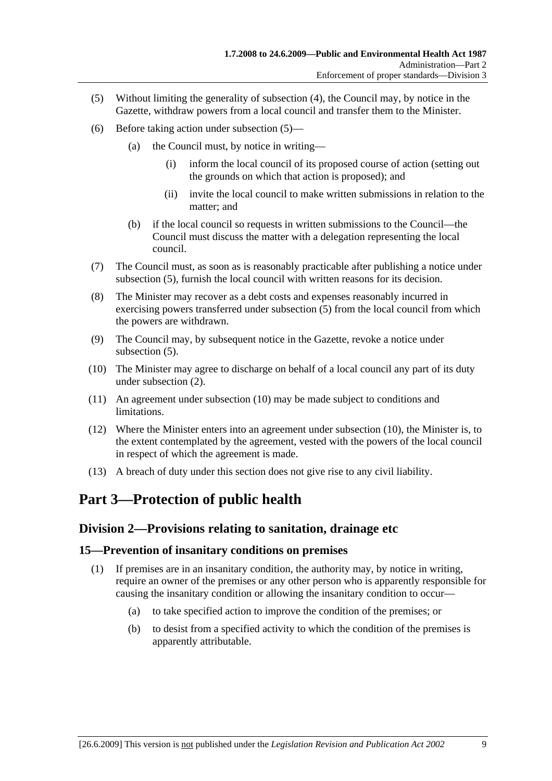- (5) Without limiting the generality of subsection (4), the Council may, by notice in the Gazette, withdraw powers from a local council and transfer them to the Minister.
- (6) Before taking action under subsection (5)—
	- (a) the Council must, by notice in writing—
		- (i) inform the local council of its proposed course of action (setting out the grounds on which that action is proposed); and
		- (ii) invite the local council to make written submissions in relation to the matter; and
	- (b) if the local council so requests in written submissions to the Council—the Council must discuss the matter with a delegation representing the local council.
- (7) The Council must, as soon as is reasonably practicable after publishing a notice under subsection (5), furnish the local council with written reasons for its decision.
- (8) The Minister may recover as a debt costs and expenses reasonably incurred in exercising powers transferred under subsection (5) from the local council from which the powers are withdrawn.
- (9) The Council may, by subsequent notice in the Gazette, revoke a notice under subsection  $(5)$ .
- (10) The Minister may agree to discharge on behalf of a local council any part of its duty under subsection (2).
- (11) An agreement under subsection (10) may be made subject to conditions and limitations.
- (12) Where the Minister enters into an agreement under subsection (10), the Minister is, to the extent contemplated by the agreement, vested with the powers of the local council in respect of which the agreement is made.
- (13) A breach of duty under this section does not give rise to any civil liability.

## **Part 3—Protection of public health**

## **Division 2—Provisions relating to sanitation, drainage etc**

#### **15—Prevention of insanitary conditions on premises**

- (1) If premises are in an insanitary condition, the authority may, by notice in writing, require an owner of the premises or any other person who is apparently responsible for causing the insanitary condition or allowing the insanitary condition to occur—
	- (a) to take specified action to improve the condition of the premises; or
	- (b) to desist from a specified activity to which the condition of the premises is apparently attributable.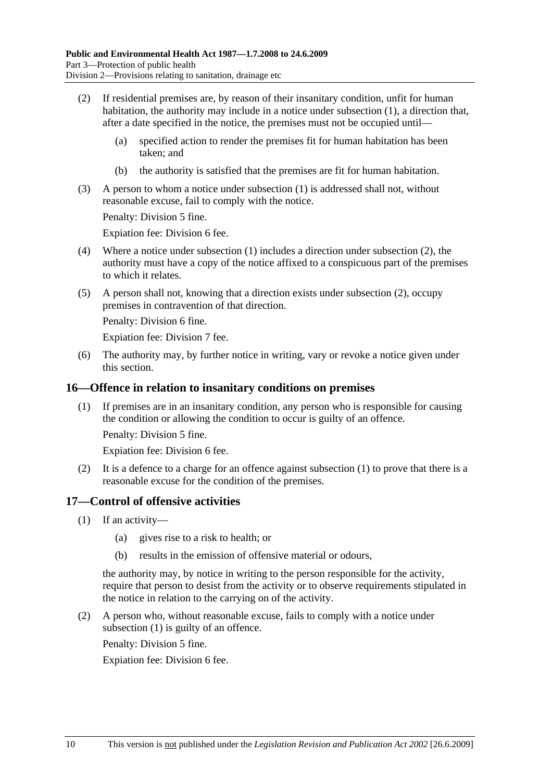- (2) If residential premises are, by reason of their insanitary condition, unfit for human habitation, the authority may include in a notice under subsection (1), a direction that, after a date specified in the notice, the premises must not be occupied until—
	- (a) specified action to render the premises fit for human habitation has been taken; and
	- (b) the authority is satisfied that the premises are fit for human habitation.
- (3) A person to whom a notice under subsection (1) is addressed shall not, without reasonable excuse, fail to comply with the notice.

Penalty: Division 5 fine.

Expiation fee: Division 6 fee.

- (4) Where a notice under subsection (1) includes a direction under subsection (2), the authority must have a copy of the notice affixed to a conspicuous part of the premises to which it relates.
- (5) A person shall not, knowing that a direction exists under subsection (2), occupy premises in contravention of that direction.

Penalty: Division 6 fine.

Expiation fee: Division 7 fee.

 (6) The authority may, by further notice in writing, vary or revoke a notice given under this section.

#### **16—Offence in relation to insanitary conditions on premises**

 (1) If premises are in an insanitary condition, any person who is responsible for causing the condition or allowing the condition to occur is guilty of an offence.

Penalty: Division 5 fine.

Expiation fee: Division 6 fee.

 (2) It is a defence to a charge for an offence against subsection (1) to prove that there is a reasonable excuse for the condition of the premises.

#### **17—Control of offensive activities**

- (1) If an activity—
	- (a) gives rise to a risk to health; or
	- (b) results in the emission of offensive material or odours,

the authority may, by notice in writing to the person responsible for the activity, require that person to desist from the activity or to observe requirements stipulated in the notice in relation to the carrying on of the activity.

 (2) A person who, without reasonable excuse, fails to comply with a notice under subsection (1) is guilty of an offence.

Penalty: Division 5 fine.

Expiation fee: Division 6 fee.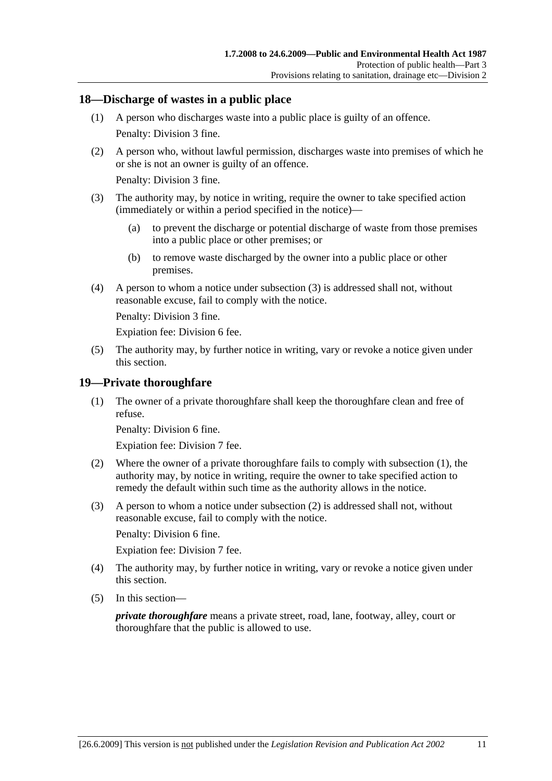#### **18—Discharge of wastes in a public place**

- (1) A person who discharges waste into a public place is guilty of an offence. Penalty: Division 3 fine.
- (2) A person who, without lawful permission, discharges waste into premises of which he or she is not an owner is guilty of an offence.

Penalty: Division 3 fine.

- (3) The authority may, by notice in writing, require the owner to take specified action (immediately or within a period specified in the notice)—
	- (a) to prevent the discharge or potential discharge of waste from those premises into a public place or other premises; or
	- (b) to remove waste discharged by the owner into a public place or other premises.
- (4) A person to whom a notice under subsection (3) is addressed shall not, without reasonable excuse, fail to comply with the notice.

Penalty: Division 3 fine.

Expiation fee: Division 6 fee.

 (5) The authority may, by further notice in writing, vary or revoke a notice given under this section.

#### **19—Private thoroughfare**

 (1) The owner of a private thoroughfare shall keep the thoroughfare clean and free of refuse.

Penalty: Division 6 fine.

Expiation fee: Division 7 fee.

- (2) Where the owner of a private thoroughfare fails to comply with subsection (1), the authority may, by notice in writing, require the owner to take specified action to remedy the default within such time as the authority allows in the notice.
- (3) A person to whom a notice under subsection (2) is addressed shall not, without reasonable excuse, fail to comply with the notice.

Penalty: Division 6 fine.

Expiation fee: Division 7 fee.

- (4) The authority may, by further notice in writing, vary or revoke a notice given under this section.
- (5) In this section—

*private thoroughfare* means a private street, road, lane, footway, alley, court or thoroughfare that the public is allowed to use.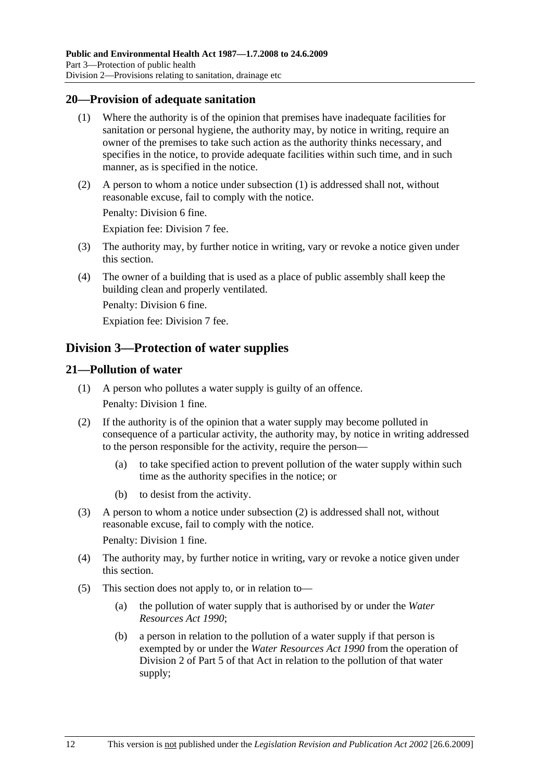#### **20—Provision of adequate sanitation**

- (1) Where the authority is of the opinion that premises have inadequate facilities for sanitation or personal hygiene, the authority may, by notice in writing, require an owner of the premises to take such action as the authority thinks necessary, and specifies in the notice, to provide adequate facilities within such time, and in such manner, as is specified in the notice.
- (2) A person to whom a notice under subsection (1) is addressed shall not, without reasonable excuse, fail to comply with the notice.

Penalty: Division 6 fine.

Expiation fee: Division 7 fee.

- (3) The authority may, by further notice in writing, vary or revoke a notice given under this section.
- (4) The owner of a building that is used as a place of public assembly shall keep the building clean and properly ventilated.

Penalty: Division 6 fine.

Expiation fee: Division 7 fee.

## **Division 3—Protection of water supplies**

#### **21—Pollution of water**

- (1) A person who pollutes a water supply is guilty of an offence. Penalty: Division 1 fine.
- (2) If the authority is of the opinion that a water supply may become polluted in consequence of a particular activity, the authority may, by notice in writing addressed to the person responsible for the activity, require the person—
	- (a) to take specified action to prevent pollution of the water supply within such time as the authority specifies in the notice; or
	- (b) to desist from the activity.
- (3) A person to whom a notice under subsection (2) is addressed shall not, without reasonable excuse, fail to comply with the notice.

Penalty: Division 1 fine.

- (4) The authority may, by further notice in writing, vary or revoke a notice given under this section.
- (5) This section does not apply to, or in relation to—
	- (a) the pollution of water supply that is authorised by or under the *Water Resources Act 1990*;
	- (b) a person in relation to the pollution of a water supply if that person is exempted by or under the *Water Resources Act 1990* from the operation of Division 2 of Part 5 of that Act in relation to the pollution of that water supply;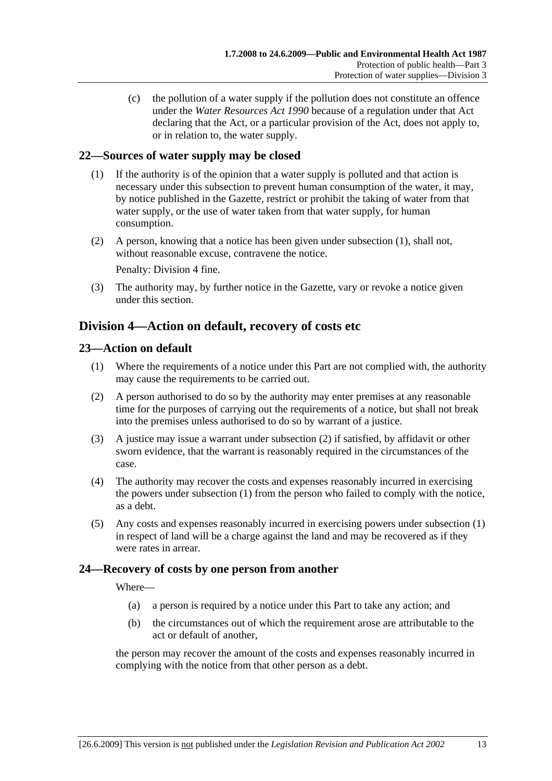(c) the pollution of a water supply if the pollution does not constitute an offence under the *Water Resources Act 1990* because of a regulation under that Act declaring that the Act, or a particular provision of the Act, does not apply to, or in relation to, the water supply.

## **22—Sources of water supply may be closed**

- (1) If the authority is of the opinion that a water supply is polluted and that action is necessary under this subsection to prevent human consumption of the water, it may, by notice published in the Gazette, restrict or prohibit the taking of water from that water supply, or the use of water taken from that water supply, for human consumption.
- (2) A person, knowing that a notice has been given under subsection (1), shall not, without reasonable excuse, contravene the notice.

Penalty: Division 4 fine.

 (3) The authority may, by further notice in the Gazette, vary or revoke a notice given under this section.

## **Division 4—Action on default, recovery of costs etc**

#### **23—Action on default**

- (1) Where the requirements of a notice under this Part are not complied with, the authority may cause the requirements to be carried out.
- (2) A person authorised to do so by the authority may enter premises at any reasonable time for the purposes of carrying out the requirements of a notice, but shall not break into the premises unless authorised to do so by warrant of a justice.
- (3) A justice may issue a warrant under subsection (2) if satisfied, by affidavit or other sworn evidence, that the warrant is reasonably required in the circumstances of the case.
- (4) The authority may recover the costs and expenses reasonably incurred in exercising the powers under subsection (1) from the person who failed to comply with the notice, as a debt.
- (5) Any costs and expenses reasonably incurred in exercising powers under subsection (1) in respect of land will be a charge against the land and may be recovered as if they were rates in arrear.

#### **24—Recovery of costs by one person from another**

Where—

- (a) a person is required by a notice under this Part to take any action; and
- (b) the circumstances out of which the requirement arose are attributable to the act or default of another,

the person may recover the amount of the costs and expenses reasonably incurred in complying with the notice from that other person as a debt.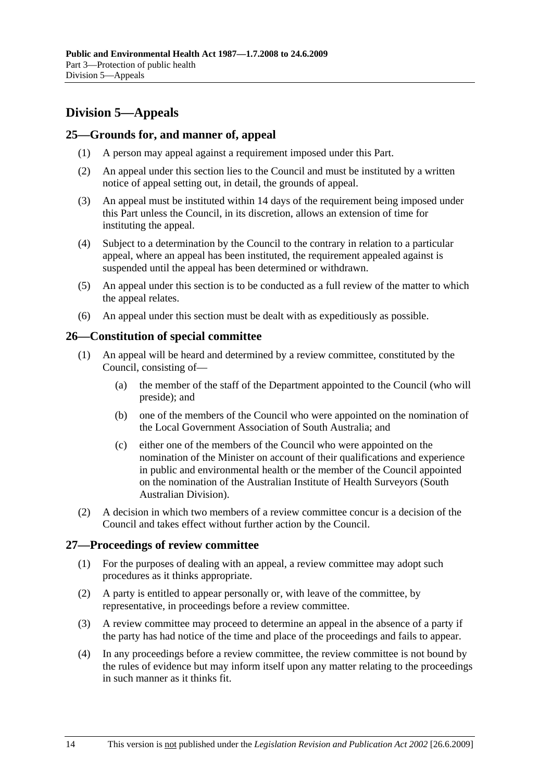## **Division 5—Appeals**

#### **25—Grounds for, and manner of, appeal**

- (1) A person may appeal against a requirement imposed under this Part.
- (2) An appeal under this section lies to the Council and must be instituted by a written notice of appeal setting out, in detail, the grounds of appeal.
- (3) An appeal must be instituted within 14 days of the requirement being imposed under this Part unless the Council, in its discretion, allows an extension of time for instituting the appeal.
- (4) Subject to a determination by the Council to the contrary in relation to a particular appeal, where an appeal has been instituted, the requirement appealed against is suspended until the appeal has been determined or withdrawn.
- (5) An appeal under this section is to be conducted as a full review of the matter to which the appeal relates.
- (6) An appeal under this section must be dealt with as expeditiously as possible.

#### **26—Constitution of special committee**

- (1) An appeal will be heard and determined by a review committee, constituted by the Council, consisting of—
	- (a) the member of the staff of the Department appointed to the Council (who will preside); and
	- (b) one of the members of the Council who were appointed on the nomination of the Local Government Association of South Australia; and
	- (c) either one of the members of the Council who were appointed on the nomination of the Minister on account of their qualifications and experience in public and environmental health or the member of the Council appointed on the nomination of the Australian Institute of Health Surveyors (South Australian Division).
- (2) A decision in which two members of a review committee concur is a decision of the Council and takes effect without further action by the Council.

#### **27—Proceedings of review committee**

- (1) For the purposes of dealing with an appeal, a review committee may adopt such procedures as it thinks appropriate.
- (2) A party is entitled to appear personally or, with leave of the committee, by representative, in proceedings before a review committee.
- (3) A review committee may proceed to determine an appeal in the absence of a party if the party has had notice of the time and place of the proceedings and fails to appear.
- (4) In any proceedings before a review committee, the review committee is not bound by the rules of evidence but may inform itself upon any matter relating to the proceedings in such manner as it thinks fit.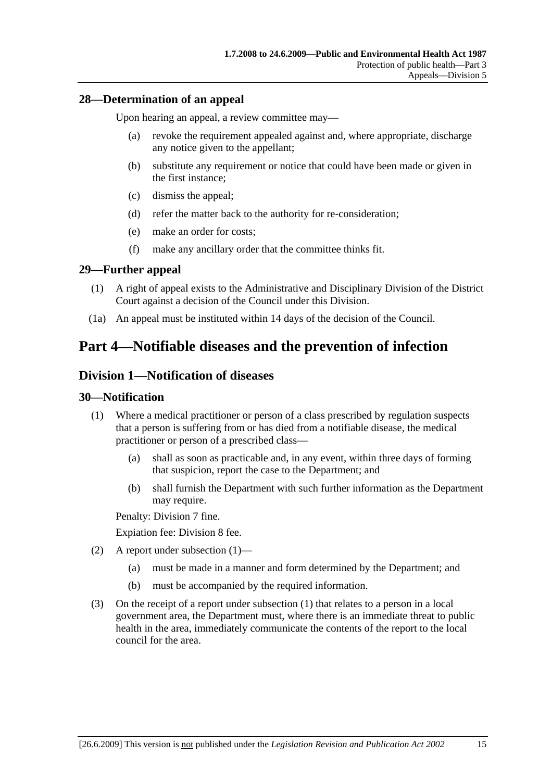#### **28—Determination of an appeal**

Upon hearing an appeal, a review committee may—

- (a) revoke the requirement appealed against and, where appropriate, discharge any notice given to the appellant;
- (b) substitute any requirement or notice that could have been made or given in the first instance;
- (c) dismiss the appeal;
- (d) refer the matter back to the authority for re-consideration;
- (e) make an order for costs;
- (f) make any ancillary order that the committee thinks fit.

#### **29—Further appeal**

- (1) A right of appeal exists to the Administrative and Disciplinary Division of the District Court against a decision of the Council under this Division.
- (1a) An appeal must be instituted within 14 days of the decision of the Council.

## **Part 4—Notifiable diseases and the prevention of infection**

## **Division 1—Notification of diseases**

#### **30—Notification**

- (1) Where a medical practitioner or person of a class prescribed by regulation suspects that a person is suffering from or has died from a notifiable disease, the medical practitioner or person of a prescribed class—
	- (a) shall as soon as practicable and, in any event, within three days of forming that suspicion, report the case to the Department; and
	- (b) shall furnish the Department with such further information as the Department may require.

Penalty: Division 7 fine.

Expiation fee: Division 8 fee.

- (2) A report under subsection (1)—
	- (a) must be made in a manner and form determined by the Department; and
	- (b) must be accompanied by the required information.
- (3) On the receipt of a report under subsection (1) that relates to a person in a local government area, the Department must, where there is an immediate threat to public health in the area, immediately communicate the contents of the report to the local council for the area.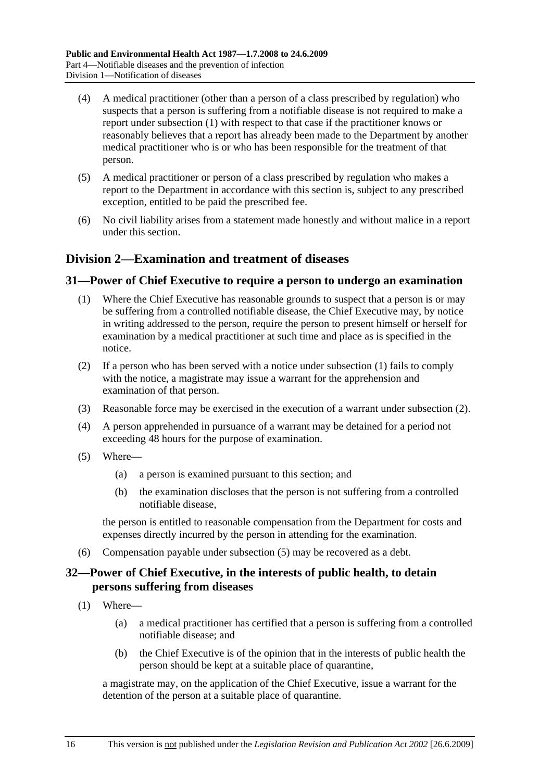- (4) A medical practitioner (other than a person of a class prescribed by regulation) who suspects that a person is suffering from a notifiable disease is not required to make a report under subsection (1) with respect to that case if the practitioner knows or reasonably believes that a report has already been made to the Department by another medical practitioner who is or who has been responsible for the treatment of that person.
- (5) A medical practitioner or person of a class prescribed by regulation who makes a report to the Department in accordance with this section is, subject to any prescribed exception, entitled to be paid the prescribed fee.
- (6) No civil liability arises from a statement made honestly and without malice in a report under this section.

## **Division 2—Examination and treatment of diseases**

#### **31—Power of Chief Executive to require a person to undergo an examination**

- (1) Where the Chief Executive has reasonable grounds to suspect that a person is or may be suffering from a controlled notifiable disease, the Chief Executive may, by notice in writing addressed to the person, require the person to present himself or herself for examination by a medical practitioner at such time and place as is specified in the notice.
- (2) If a person who has been served with a notice under subsection (1) fails to comply with the notice, a magistrate may issue a warrant for the apprehension and examination of that person.
- (3) Reasonable force may be exercised in the execution of a warrant under subsection (2).
- (4) A person apprehended in pursuance of a warrant may be detained for a period not exceeding 48 hours for the purpose of examination.
- (5) Where—
	- (a) a person is examined pursuant to this section; and
	- (b) the examination discloses that the person is not suffering from a controlled notifiable disease,

the person is entitled to reasonable compensation from the Department for costs and expenses directly incurred by the person in attending for the examination.

(6) Compensation payable under subsection (5) may be recovered as a debt.

### **32—Power of Chief Executive, in the interests of public health, to detain persons suffering from diseases**

- (1) Where—
	- (a) a medical practitioner has certified that a person is suffering from a controlled notifiable disease; and
	- (b) the Chief Executive is of the opinion that in the interests of public health the person should be kept at a suitable place of quarantine,

a magistrate may, on the application of the Chief Executive, issue a warrant for the detention of the person at a suitable place of quarantine.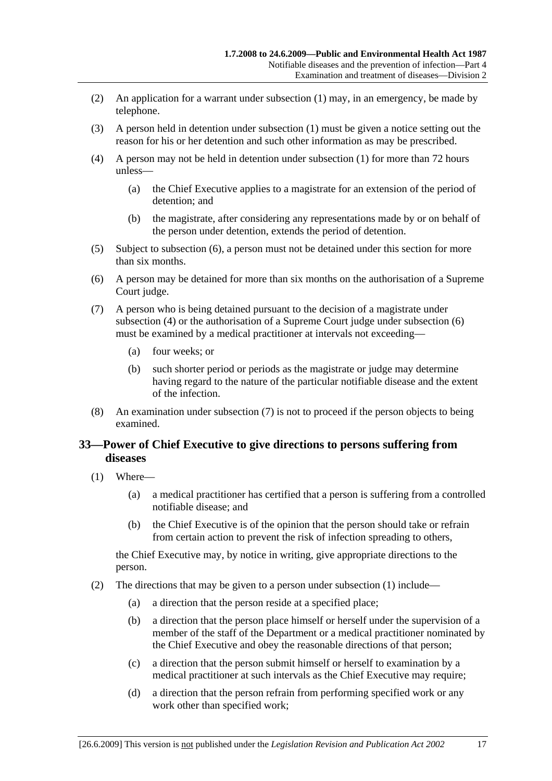- (2) An application for a warrant under subsection (1) may, in an emergency, be made by telephone.
- (3) A person held in detention under subsection (1) must be given a notice setting out the reason for his or her detention and such other information as may be prescribed.
- (4) A person may not be held in detention under subsection (1) for more than 72 hours unless—
	- (a) the Chief Executive applies to a magistrate for an extension of the period of detention; and
	- (b) the magistrate, after considering any representations made by or on behalf of the person under detention, extends the period of detention.
- (5) Subject to subsection (6), a person must not be detained under this section for more than six months.
- (6) A person may be detained for more than six months on the authorisation of a Supreme Court judge.
- (7) A person who is being detained pursuant to the decision of a magistrate under subsection (4) or the authorisation of a Supreme Court judge under subsection (6) must be examined by a medical practitioner at intervals not exceeding—
	- (a) four weeks; or
	- (b) such shorter period or periods as the magistrate or judge may determine having regard to the nature of the particular notifiable disease and the extent of the infection.
- (8) An examination under subsection (7) is not to proceed if the person objects to being examined.

### **33—Power of Chief Executive to give directions to persons suffering from diseases**

- (1) Where—
	- (a) a medical practitioner has certified that a person is suffering from a controlled notifiable disease; and
	- (b) the Chief Executive is of the opinion that the person should take or refrain from certain action to prevent the risk of infection spreading to others,

the Chief Executive may, by notice in writing, give appropriate directions to the person.

- (2) The directions that may be given to a person under subsection (1) include—
	- (a) a direction that the person reside at a specified place;
	- (b) a direction that the person place himself or herself under the supervision of a member of the staff of the Department or a medical practitioner nominated by the Chief Executive and obey the reasonable directions of that person;
	- (c) a direction that the person submit himself or herself to examination by a medical practitioner at such intervals as the Chief Executive may require;
	- (d) a direction that the person refrain from performing specified work or any work other than specified work;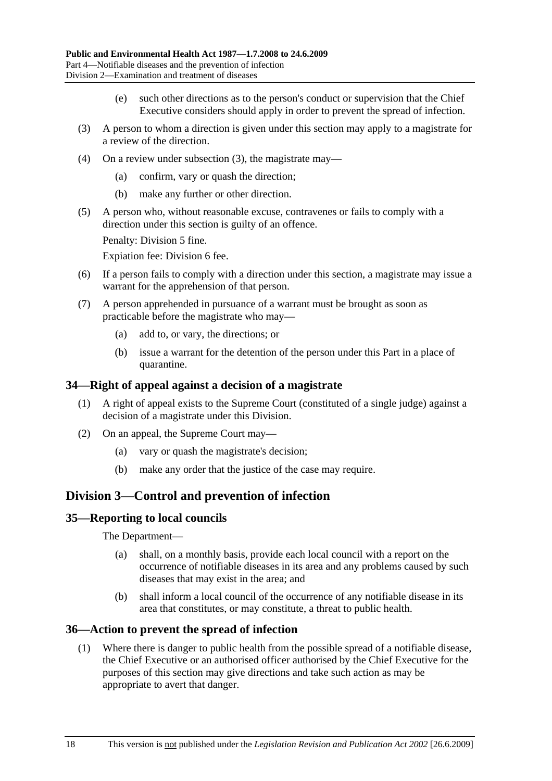- (e) such other directions as to the person's conduct or supervision that the Chief Executive considers should apply in order to prevent the spread of infection.
- (3) A person to whom a direction is given under this section may apply to a magistrate for a review of the direction.
- (4) On a review under subsection (3), the magistrate may—
	- (a) confirm, vary or quash the direction;
	- (b) make any further or other direction.
- (5) A person who, without reasonable excuse, contravenes or fails to comply with a direction under this section is guilty of an offence.

Penalty: Division 5 fine.

Expiation fee: Division 6 fee.

- (6) If a person fails to comply with a direction under this section, a magistrate may issue a warrant for the apprehension of that person.
- (7) A person apprehended in pursuance of a warrant must be brought as soon as practicable before the magistrate who may—
	- (a) add to, or vary, the directions; or
	- (b) issue a warrant for the detention of the person under this Part in a place of quarantine.

#### **34—Right of appeal against a decision of a magistrate**

- (1) A right of appeal exists to the Supreme Court (constituted of a single judge) against a decision of a magistrate under this Division.
- (2) On an appeal, the Supreme Court may—
	- (a) vary or quash the magistrate's decision;
	- (b) make any order that the justice of the case may require.

## **Division 3—Control and prevention of infection**

#### **35—Reporting to local councils**

The Department—

- (a) shall, on a monthly basis, provide each local council with a report on the occurrence of notifiable diseases in its area and any problems caused by such diseases that may exist in the area; and
- (b) shall inform a local council of the occurrence of any notifiable disease in its area that constitutes, or may constitute, a threat to public health.

#### **36—Action to prevent the spread of infection**

 (1) Where there is danger to public health from the possible spread of a notifiable disease, the Chief Executive or an authorised officer authorised by the Chief Executive for the purposes of this section may give directions and take such action as may be appropriate to avert that danger.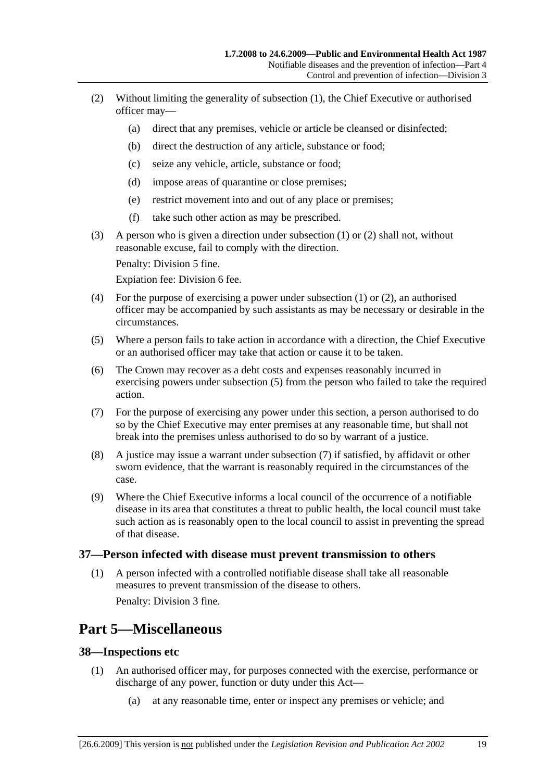- (2) Without limiting the generality of subsection (1), the Chief Executive or authorised officer may—
	- (a) direct that any premises, vehicle or article be cleansed or disinfected;
	- (b) direct the destruction of any article, substance or food;
	- (c) seize any vehicle, article, substance or food;
	- (d) impose areas of quarantine or close premises;
	- (e) restrict movement into and out of any place or premises;
	- (f) take such other action as may be prescribed.
- (3) A person who is given a direction under subsection (1) or (2) shall not, without reasonable excuse, fail to comply with the direction.

Penalty: Division 5 fine.

Expiation fee: Division 6 fee.

- (4) For the purpose of exercising a power under subsection (1) or (2), an authorised officer may be accompanied by such assistants as may be necessary or desirable in the circumstances.
- (5) Where a person fails to take action in accordance with a direction, the Chief Executive or an authorised officer may take that action or cause it to be taken.
- (6) The Crown may recover as a debt costs and expenses reasonably incurred in exercising powers under subsection (5) from the person who failed to take the required action.
- (7) For the purpose of exercising any power under this section, a person authorised to do so by the Chief Executive may enter premises at any reasonable time, but shall not break into the premises unless authorised to do so by warrant of a justice.
- (8) A justice may issue a warrant under subsection (7) if satisfied, by affidavit or other sworn evidence, that the warrant is reasonably required in the circumstances of the case.
- (9) Where the Chief Executive informs a local council of the occurrence of a notifiable disease in its area that constitutes a threat to public health, the local council must take such action as is reasonably open to the local council to assist in preventing the spread of that disease.

#### **37—Person infected with disease must prevent transmission to others**

 (1) A person infected with a controlled notifiable disease shall take all reasonable measures to prevent transmission of the disease to others.

Penalty: Division 3 fine.

## **Part 5—Miscellaneous**

#### **38—Inspections etc**

- (1) An authorised officer may, for purposes connected with the exercise, performance or discharge of any power, function or duty under this Act—
	- (a) at any reasonable time, enter or inspect any premises or vehicle; and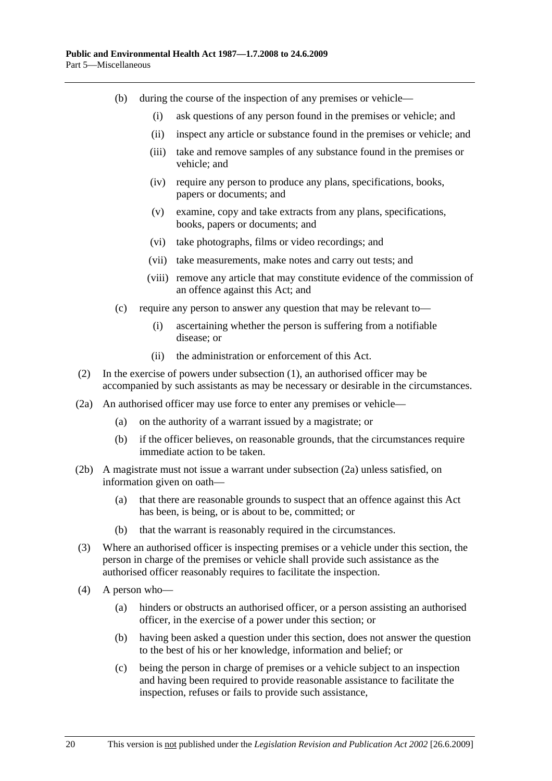- (b) during the course of the inspection of any premises or vehicle—
	- (i) ask questions of any person found in the premises or vehicle; and
	- (ii) inspect any article or substance found in the premises or vehicle; and
	- (iii) take and remove samples of any substance found in the premises or vehicle; and
	- (iv) require any person to produce any plans, specifications, books, papers or documents; and
	- (v) examine, copy and take extracts from any plans, specifications, books, papers or documents; and
	- (vi) take photographs, films or video recordings; and
	- (vii) take measurements, make notes and carry out tests; and
	- (viii) remove any article that may constitute evidence of the commission of an offence against this Act; and
- (c) require any person to answer any question that may be relevant to—
	- (i) ascertaining whether the person is suffering from a notifiable disease; or
	- (ii) the administration or enforcement of this Act.
- (2) In the exercise of powers under subsection (1), an authorised officer may be accompanied by such assistants as may be necessary or desirable in the circumstances.
- (2a) An authorised officer may use force to enter any premises or vehicle—
	- (a) on the authority of a warrant issued by a magistrate; or
	- (b) if the officer believes, on reasonable grounds, that the circumstances require immediate action to be taken.
- (2b) A magistrate must not issue a warrant under subsection (2a) unless satisfied, on information given on oath—
	- (a) that there are reasonable grounds to suspect that an offence against this Act has been, is being, or is about to be, committed; or
	- (b) that the warrant is reasonably required in the circumstances.
- (3) Where an authorised officer is inspecting premises or a vehicle under this section, the person in charge of the premises or vehicle shall provide such assistance as the authorised officer reasonably requires to facilitate the inspection.
- (4) A person who—
	- (a) hinders or obstructs an authorised officer, or a person assisting an authorised officer, in the exercise of a power under this section; or
	- (b) having been asked a question under this section, does not answer the question to the best of his or her knowledge, information and belief; or
	- (c) being the person in charge of premises or a vehicle subject to an inspection and having been required to provide reasonable assistance to facilitate the inspection, refuses or fails to provide such assistance,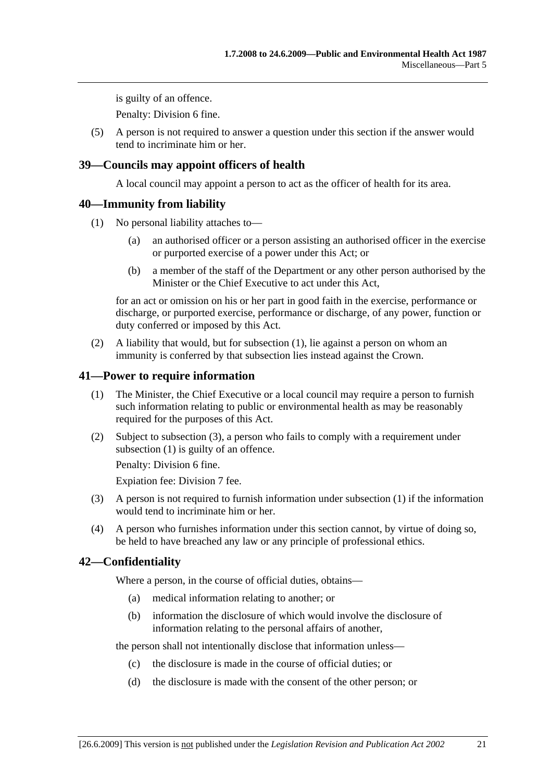is guilty of an offence.

Penalty: Division 6 fine.

 (5) A person is not required to answer a question under this section if the answer would tend to incriminate him or her.

### **39—Councils may appoint officers of health**

A local council may appoint a person to act as the officer of health for its area.

#### **40—Immunity from liability**

- (1) No personal liability attaches to—
	- (a) an authorised officer or a person assisting an authorised officer in the exercise or purported exercise of a power under this Act; or
	- (b) a member of the staff of the Department or any other person authorised by the Minister or the Chief Executive to act under this Act,

for an act or omission on his or her part in good faith in the exercise, performance or discharge, or purported exercise, performance or discharge, of any power, function or duty conferred or imposed by this Act.

 (2) A liability that would, but for subsection (1), lie against a person on whom an immunity is conferred by that subsection lies instead against the Crown.

#### **41—Power to require information**

- (1) The Minister, the Chief Executive or a local council may require a person to furnish such information relating to public or environmental health as may be reasonably required for the purposes of this Act.
- (2) Subject to subsection (3), a person who fails to comply with a requirement under subsection (1) is guilty of an offence.

Penalty: Division 6 fine.

Expiation fee: Division 7 fee.

- (3) A person is not required to furnish information under subsection (1) if the information would tend to incriminate him or her.
- (4) A person who furnishes information under this section cannot, by virtue of doing so, be held to have breached any law or any principle of professional ethics.

#### **42—Confidentiality**

Where a person, in the course of official duties, obtains—

- (a) medical information relating to another; or
- (b) information the disclosure of which would involve the disclosure of information relating to the personal affairs of another,

the person shall not intentionally disclose that information unless—

- (c) the disclosure is made in the course of official duties; or
- (d) the disclosure is made with the consent of the other person; or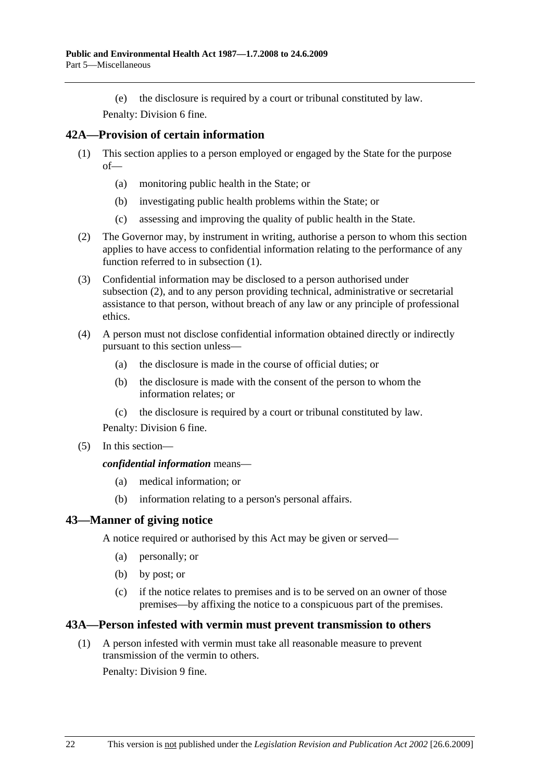(e) the disclosure is required by a court or tribunal constituted by law.

Penalty: Division 6 fine.

## **42A—Provision of certain information**

- (1) This section applies to a person employed or engaged by the State for the purpose  $of$ — $\overline{\phantom{a}}$ 
	- (a) monitoring public health in the State; or
	- (b) investigating public health problems within the State; or
	- (c) assessing and improving the quality of public health in the State.
- (2) The Governor may, by instrument in writing, authorise a person to whom this section applies to have access to confidential information relating to the performance of any function referred to in subsection (1).
- (3) Confidential information may be disclosed to a person authorised under subsection (2), and to any person providing technical, administrative or secretarial assistance to that person, without breach of any law or any principle of professional ethics.
- (4) A person must not disclose confidential information obtained directly or indirectly pursuant to this section unless—
	- (a) the disclosure is made in the course of official duties; or
	- (b) the disclosure is made with the consent of the person to whom the information relates; or
	- (c) the disclosure is required by a court or tribunal constituted by law.

Penalty: Division 6 fine.

(5) In this section—

*confidential information* means—

- (a) medical information; or
- (b) information relating to a person's personal affairs.

## **43—Manner of giving notice**

A notice required or authorised by this Act may be given or served—

- (a) personally; or
- (b) by post; or
- (c) if the notice relates to premises and is to be served on an owner of those premises—by affixing the notice to a conspicuous part of the premises.

#### **43A—Person infested with vermin must prevent transmission to others**

 (1) A person infested with vermin must take all reasonable measure to prevent transmission of the vermin to others.

Penalty: Division 9 fine.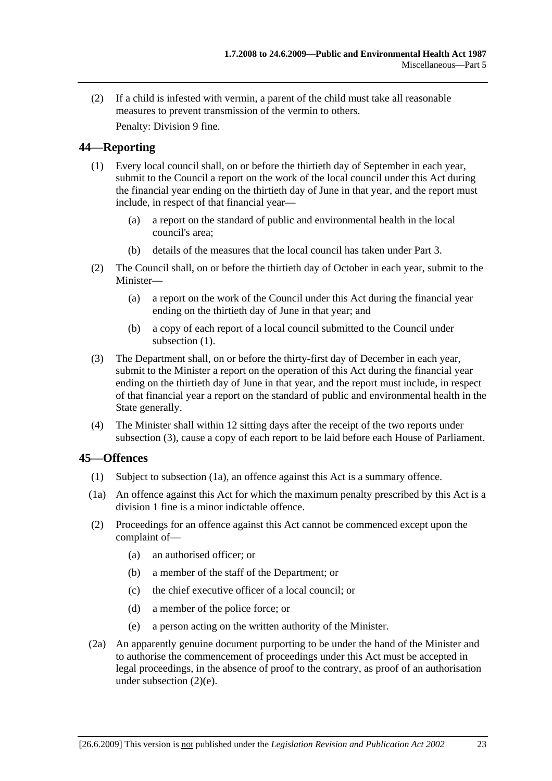(2) If a child is infested with vermin, a parent of the child must take all reasonable measures to prevent transmission of the vermin to others. Penalty: Division 9 fine.

**44—Reporting** 

- (1) Every local council shall, on or before the thirtieth day of September in each year, submit to the Council a report on the work of the local council under this Act during the financial year ending on the thirtieth day of June in that year, and the report must include, in respect of that financial year—
	- (a) a report on the standard of public and environmental health in the local council's area;
	- (b) details of the measures that the local council has taken under Part 3.
- (2) The Council shall, on or before the thirtieth day of October in each year, submit to the Minister—
	- (a) a report on the work of the Council under this Act during the financial year ending on the thirtieth day of June in that year; and
	- (b) a copy of each report of a local council submitted to the Council under subsection  $(1)$ .
- (3) The Department shall, on or before the thirty-first day of December in each year, submit to the Minister a report on the operation of this Act during the financial year ending on the thirtieth day of June in that year, and the report must include, in respect of that financial year a report on the standard of public and environmental health in the State generally.
- (4) The Minister shall within 12 sitting days after the receipt of the two reports under subsection (3), cause a copy of each report to be laid before each House of Parliament.

#### **45—Offences**

- (1) Subject to subsection (1a), an offence against this Act is a summary offence.
- (1a) An offence against this Act for which the maximum penalty prescribed by this Act is a division 1 fine is a minor indictable offence.
- (2) Proceedings for an offence against this Act cannot be commenced except upon the complaint of—
	- (a) an authorised officer; or
	- (b) a member of the staff of the Department; or
	- (c) the chief executive officer of a local council; or
	- (d) a member of the police force; or
	- (e) a person acting on the written authority of the Minister.
- (2a) An apparently genuine document purporting to be under the hand of the Minister and to authorise the commencement of proceedings under this Act must be accepted in legal proceedings, in the absence of proof to the contrary, as proof of an authorisation under subsection (2)(e).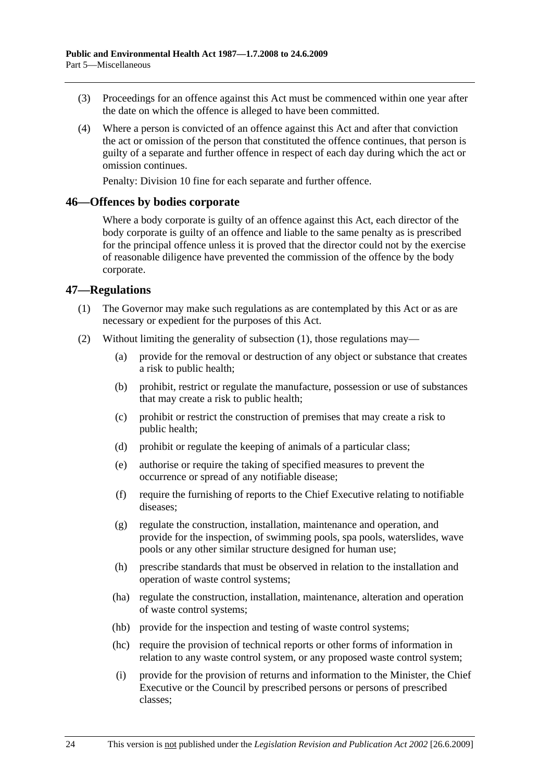- (3) Proceedings for an offence against this Act must be commenced within one year after the date on which the offence is alleged to have been committed.
- (4) Where a person is convicted of an offence against this Act and after that conviction the act or omission of the person that constituted the offence continues, that person is guilty of a separate and further offence in respect of each day during which the act or omission continues.

Penalty: Division 10 fine for each separate and further offence.

#### **46—Offences by bodies corporate**

Where a body corporate is guilty of an offence against this Act, each director of the body corporate is guilty of an offence and liable to the same penalty as is prescribed for the principal offence unless it is proved that the director could not by the exercise of reasonable diligence have prevented the commission of the offence by the body corporate.

#### **47—Regulations**

- (1) The Governor may make such regulations as are contemplated by this Act or as are necessary or expedient for the purposes of this Act.
- (2) Without limiting the generality of subsection (1), those regulations may—
	- (a) provide for the removal or destruction of any object or substance that creates a risk to public health;
	- (b) prohibit, restrict or regulate the manufacture, possession or use of substances that may create a risk to public health;
	- (c) prohibit or restrict the construction of premises that may create a risk to public health;
	- (d) prohibit or regulate the keeping of animals of a particular class;
	- (e) authorise or require the taking of specified measures to prevent the occurrence or spread of any notifiable disease;
	- (f) require the furnishing of reports to the Chief Executive relating to notifiable diseases;
	- (g) regulate the construction, installation, maintenance and operation, and provide for the inspection, of swimming pools, spa pools, waterslides, wave pools or any other similar structure designed for human use;
	- (h) prescribe standards that must be observed in relation to the installation and operation of waste control systems;
	- (ha) regulate the construction, installation, maintenance, alteration and operation of waste control systems;
	- (hb) provide for the inspection and testing of waste control systems;
	- (hc) require the provision of technical reports or other forms of information in relation to any waste control system, or any proposed waste control system;
	- (i) provide for the provision of returns and information to the Minister, the Chief Executive or the Council by prescribed persons or persons of prescribed classes;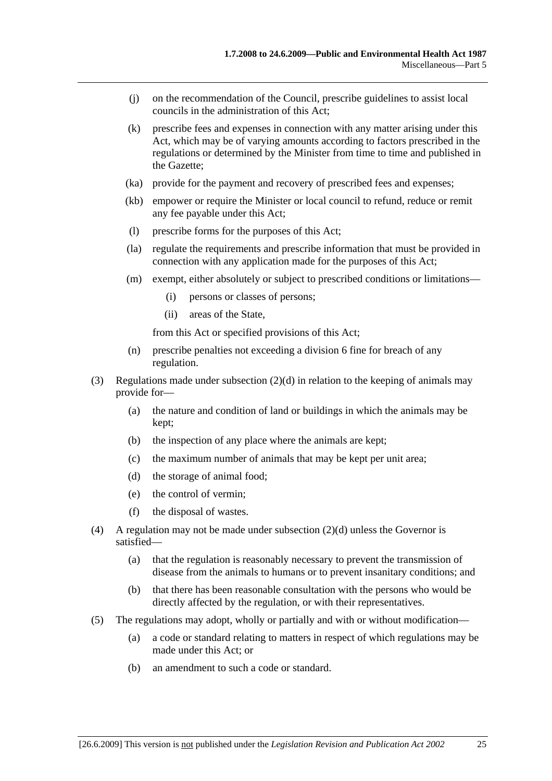- (j) on the recommendation of the Council, prescribe guidelines to assist local councils in the administration of this Act;
- (k) prescribe fees and expenses in connection with any matter arising under this Act, which may be of varying amounts according to factors prescribed in the regulations or determined by the Minister from time to time and published in the Gazette;
- (ka) provide for the payment and recovery of prescribed fees and expenses;
- (kb) empower or require the Minister or local council to refund, reduce or remit any fee payable under this Act;
- (l) prescribe forms for the purposes of this Act;
- (la) regulate the requirements and prescribe information that must be provided in connection with any application made for the purposes of this Act;
- (m) exempt, either absolutely or subject to prescribed conditions or limitations—
	- (i) persons or classes of persons;
	- (ii) areas of the State,

from this Act or specified provisions of this Act;

- (n) prescribe penalties not exceeding a division 6 fine for breach of any regulation.
- (3) Regulations made under subsection (2)(d) in relation to the keeping of animals may provide for—
	- (a) the nature and condition of land or buildings in which the animals may be kept;
	- (b) the inspection of any place where the animals are kept;
	- (c) the maximum number of animals that may be kept per unit area;
	- (d) the storage of animal food;
	- (e) the control of vermin;
	- (f) the disposal of wastes.
- (4) A regulation may not be made under subsection  $(2)(d)$  unless the Governor is satisfied—
	- (a) that the regulation is reasonably necessary to prevent the transmission of disease from the animals to humans or to prevent insanitary conditions; and
	- (b) that there has been reasonable consultation with the persons who would be directly affected by the regulation, or with their representatives.
- (5) The regulations may adopt, wholly or partially and with or without modification—
	- (a) a code or standard relating to matters in respect of which regulations may be made under this Act; or
	- (b) an amendment to such a code or standard.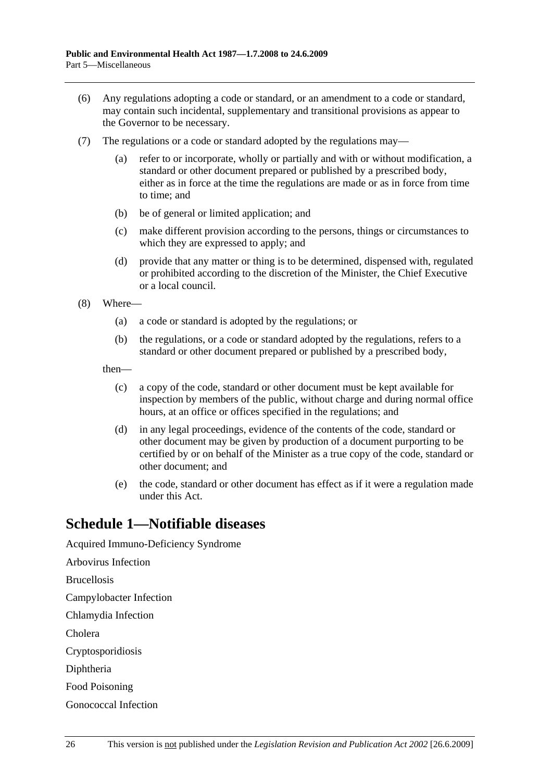- (6) Any regulations adopting a code or standard, or an amendment to a code or standard, may contain such incidental, supplementary and transitional provisions as appear to the Governor to be necessary.
- (7) The regulations or a code or standard adopted by the regulations may
	- refer to or incorporate, wholly or partially and with or without modification, a standard or other document prepared or published by a prescribed body, either as in force at the time the regulations are made or as in force from time to time; and
	- (b) be of general or limited application; and
	- (c) make different provision according to the persons, things or circumstances to which they are expressed to apply; and
	- (d) provide that any matter or thing is to be determined, dispensed with, regulated or prohibited according to the discretion of the Minister, the Chief Executive or a local council.
- (8) Where—
	- (a) a code or standard is adopted by the regulations; or
	- (b) the regulations, or a code or standard adopted by the regulations, refers to a standard or other document prepared or published by a prescribed body,

then—

- (c) a copy of the code, standard or other document must be kept available for inspection by members of the public, without charge and during normal office hours, at an office or offices specified in the regulations; and
- (d) in any legal proceedings, evidence of the contents of the code, standard or other document may be given by production of a document purporting to be certified by or on behalf of the Minister as a true copy of the code, standard or other document; and
- (e) the code, standard or other document has effect as if it were a regulation made under this Act.

## **Schedule 1—Notifiable diseases**

Acquired Immuno-Deficiency Syndrome Arbovirus Infection Brucellosis Campylobacter Infection Chlamydia Infection Cholera Cryptosporidiosis Diphtheria Food Poisoning Gonococcal Infection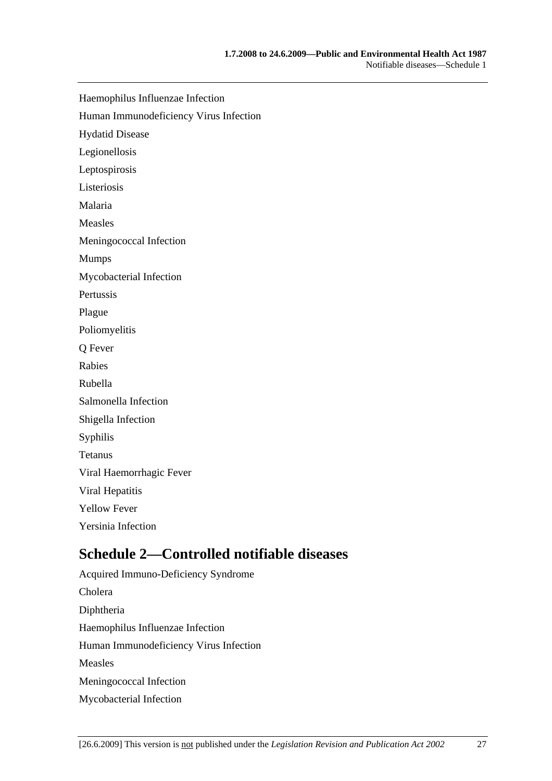Haemophilus Influenzae Infection

Human Immunodeficiency Virus Infection

Hydatid Disease

Legionellosis

Leptospirosis

Listeriosis

Malaria

Measles

Meningococcal Infection

Mumps

Mycobacterial Infection

Pertussis

Plague

Poliomyelitis

Q Fever

Rabies

Rubella

Salmonella Infection

Shigella Infection

Syphilis

Tetanus

Viral Haemorrhagic Fever

Viral Hepatitis

Yellow Fever

Yersinia Infection

## **Schedule 2—Controlled notifiable diseases**

Acquired Immuno-Deficiency Syndrome Cholera Diphtheria Haemophilus Influenzae Infection Human Immunodeficiency Virus Infection Measles Meningococcal Infection Mycobacterial Infection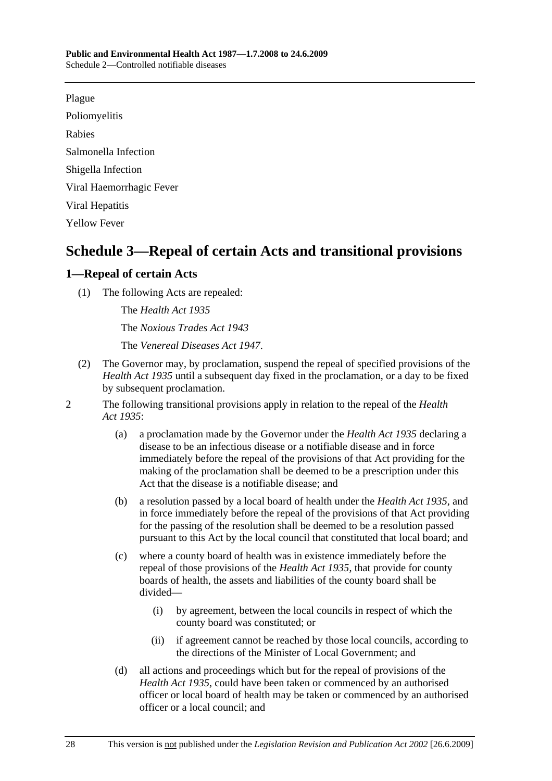Plague

Poliomyelitis

Rabies

Salmonella Infection

Shigella Infection

Viral Haemorrhagic Fever

Viral Hepatitis

Yellow Fever

# **Schedule 3—Repeal of certain Acts and transitional provisions**

## **1—Repeal of certain Acts**

(1) The following Acts are repealed:

The *Health Act 1935* The *Noxious Trades Act 1943* The *Venereal Diseases Act 1947*.

- (2) The Governor may, by proclamation, suspend the repeal of specified provisions of the *Health Act 1935* until a subsequent day fixed in the proclamation, or a day to be fixed by subsequent proclamation.
- 2 The following transitional provisions apply in relation to the repeal of the *Health Act 1935*:
	- (a) a proclamation made by the Governor under the *Health Act 1935* declaring a disease to be an infectious disease or a notifiable disease and in force immediately before the repeal of the provisions of that Act providing for the making of the proclamation shall be deemed to be a prescription under this Act that the disease is a notifiable disease; and
	- (b) a resolution passed by a local board of health under the *Health Act 1935*, and in force immediately before the repeal of the provisions of that Act providing for the passing of the resolution shall be deemed to be a resolution passed pursuant to this Act by the local council that constituted that local board; and
	- (c) where a county board of health was in existence immediately before the repeal of those provisions of the *Health Act 1935*, that provide for county boards of health, the assets and liabilities of the county board shall be divided—
		- (i) by agreement, between the local councils in respect of which the county board was constituted; or
		- (ii) if agreement cannot be reached by those local councils, according to the directions of the Minister of Local Government; and
	- (d) all actions and proceedings which but for the repeal of provisions of the *Health Act 1935*, could have been taken or commenced by an authorised officer or local board of health may be taken or commenced by an authorised officer or a local council; and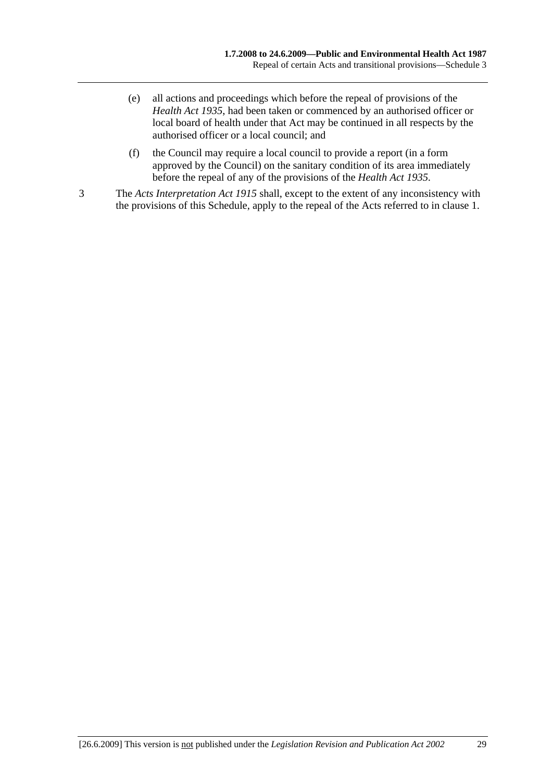- (e) all actions and proceedings which before the repeal of provisions of the *Health Act 1935*, had been taken or commenced by an authorised officer or local board of health under that Act may be continued in all respects by the authorised officer or a local council; and
- (f) the Council may require a local council to provide a report (in a form approved by the Council) on the sanitary condition of its area immediately before the repeal of any of the provisions of the *Health Act 1935*.
- 3 The *Acts Interpretation Act 1915* shall, except to the extent of any inconsistency with the provisions of this Schedule, apply to the repeal of the Acts referred to in clause 1.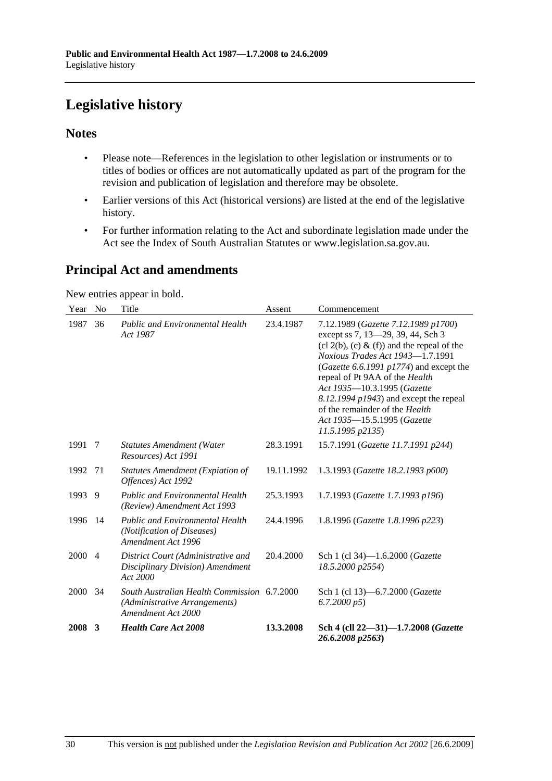# **Legislative history**

### **Notes**

- Please note—References in the legislation to other legislation or instruments or to titles of bodies or offices are not automatically updated as part of the program for the revision and publication of legislation and therefore may be obsolete.
- Earlier versions of this Act (historical versions) are listed at the end of the legislative history.
- For further information relating to the Act and subordinate legislation made under the Act see the Index of South Australian Statutes or www.legislation.sa.gov.au.

## **Principal Act and amendments**

New entries appear in bold.

| Year | N <sub>0</sub> | Title                                                                                              | Assent     | Commencement                                                                                                                                                                                                                                                                                                                                                                                                        |
|------|----------------|----------------------------------------------------------------------------------------------------|------------|---------------------------------------------------------------------------------------------------------------------------------------------------------------------------------------------------------------------------------------------------------------------------------------------------------------------------------------------------------------------------------------------------------------------|
| 1987 | 36             | <b>Public and Environmental Health</b><br>Act 1987                                                 | 23.4.1987  | 7.12.1989 (Gazette 7.12.1989 p1700)<br>except ss 7, 13-29, 39, 44, Sch 3<br>$(cl 2(b), (c) \& (f))$ and the repeal of the<br>Noxious Trades Act 1943-1.7.1991<br>(Gazette 6.6.1991 p1774) and except the<br>repeal of Pt 9AA of the Health<br>Act 1935-10.3.1995 (Gazette<br>$8.12.1994$ $p1943$ ) and except the repeal<br>of the remainder of the <i>Health</i><br>Act 1935-15.5.1995 (Gazette<br>11.5.1995 p2135 |
| 1991 | 7              | <b>Statutes Amendment (Water</b><br>Resources) Act 1991                                            | 28.3.1991  | 15.7.1991 (Gazette 11.7.1991 p244)                                                                                                                                                                                                                                                                                                                                                                                  |
| 1992 | 71             | Statutes Amendment (Expiation of<br>Offences) Act 1992                                             | 19.11.1992 | 1.3.1993 (Gazette 18.2.1993 p600)                                                                                                                                                                                                                                                                                                                                                                                   |
| 1993 | 9              | <b>Public and Environmental Health</b><br>(Review) Amendment Act 1993                              | 25.3.1993  | 1.7.1993 (Gazette 1.7.1993 p196)                                                                                                                                                                                                                                                                                                                                                                                    |
| 1996 | 14             | <b>Public and Environmental Health</b><br>(Notification of Diseases)<br>Amendment Act 1996         | 24.4.1996  | 1.8.1996 (Gazette 1.8.1996 p223)                                                                                                                                                                                                                                                                                                                                                                                    |
| 2000 | $\overline{4}$ | District Court (Administrative and<br>Disciplinary Division) Amendment<br>Act 2000                 | 20.4.2000  | Sch 1 (cl 34)-1.6.2000 ( <i>Gazette</i><br>18.5.2000 p2554)                                                                                                                                                                                                                                                                                                                                                         |
| 2000 | 34             | South Australian Health Commission 6.7.2000<br>(Administrative Arrangements)<br>Amendment Act 2000 |            | Sch 1 (cl 13)–6.7.2000 ( <i>Gazette</i><br>6.7.2000 p5                                                                                                                                                                                                                                                                                                                                                              |
| 2008 | 3              | <b>Health Care Act 2008</b>                                                                        | 13.3.2008  | Sch 4 (cll 22–31)–1.7.2008 (Gazette<br>26.6.2008 p2563)                                                                                                                                                                                                                                                                                                                                                             |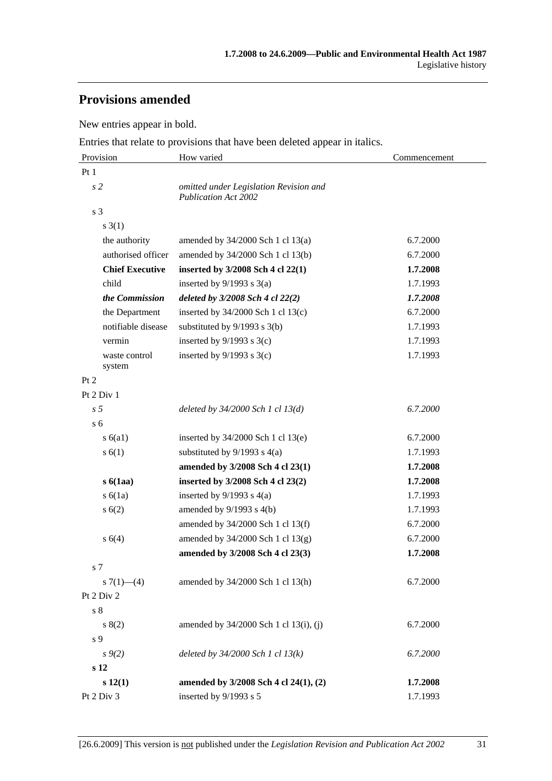## **Provisions amended**

New entries appear in bold.

Entries that relate to provisions that have been deleted appear in italics.

| Provision               | How varied                                                            | Commencement |  |
|-------------------------|-----------------------------------------------------------------------|--------------|--|
| Pt1                     |                                                                       |              |  |
| s <sub>2</sub>          | omitted under Legislation Revision and<br><b>Publication Act 2002</b> |              |  |
| s <sub>3</sub>          |                                                                       |              |  |
| $s \; 3(1)$             |                                                                       |              |  |
| the authority           | amended by 34/2000 Sch 1 cl 13(a)                                     | 6.7.2000     |  |
| authorised officer      | amended by 34/2000 Sch 1 cl 13(b)                                     | 6.7.2000     |  |
| <b>Chief Executive</b>  | inserted by 3/2008 Sch 4 cl 22(1)                                     | 1.7.2008     |  |
| child                   | inserted by $9/1993$ s $3(a)$                                         | 1.7.1993     |  |
| the Commission          | deleted by 3/2008 Sch 4 cl 22(2)                                      | 1.7.2008     |  |
| the Department          | inserted by $34/2000$ Sch 1 cl 13(c)                                  | 6.7.2000     |  |
| notifiable disease      | substituted by 9/1993 s 3(b)                                          | 1.7.1993     |  |
| vermin                  | inserted by $9/1993$ s $3(c)$                                         | 1.7.1993     |  |
| waste control<br>system | inserted by $9/1993$ s $3(c)$                                         | 1.7.1993     |  |
| Pt 2                    |                                                                       |              |  |
| Pt 2 Div 1              |                                                                       |              |  |
| s <sub>5</sub>          | deleted by 34/2000 Sch 1 cl 13(d)                                     | 6.7.2000     |  |
| s <sub>6</sub>          |                                                                       |              |  |
| s(6a1)                  | inserted by 34/2000 Sch 1 cl 13(e)                                    | 6.7.2000     |  |
| s(6(1))                 | substituted by $9/1993$ s $4(a)$                                      | 1.7.1993     |  |
|                         | amended by 3/2008 Sch 4 cl 23(1)                                      | 1.7.2008     |  |
| s6(1aa)                 | inserted by 3/2008 Sch 4 cl 23(2)                                     | 1.7.2008     |  |
| s(6(1a))                | inserted by $9/1993$ s $4(a)$                                         | 1.7.1993     |  |
| s(6(2)                  | amended by $9/1993$ s $4(b)$                                          | 1.7.1993     |  |
|                         | amended by 34/2000 Sch 1 cl 13(f)                                     | 6.7.2000     |  |
| s 6(4)                  | amended by 34/2000 Sch 1 cl 13(g)                                     | 6.7.2000     |  |
|                         | amended by 3/2008 Sch 4 cl 23(3)                                      | 1.7.2008     |  |
| s <sub>7</sub>          |                                                                       |              |  |
| s $7(1)$ - (4)          | amended by 34/2000 Sch 1 cl 13(h)                                     | 6.7.2000     |  |
| Pt 2 Div 2              |                                                                       |              |  |
| s <sub>8</sub>          |                                                                       |              |  |
| s(2)                    | amended by 34/2000 Sch 1 cl 13(i), (j)                                | 6.7.2000     |  |
| s 9                     |                                                                       |              |  |
| $s \, 9(2)$             | deleted by $34/2000$ Sch 1 cl $13(k)$                                 | 6.7.2000     |  |
| $\bf s$ 12              |                                                                       |              |  |
| s 12(1)                 | amended by 3/2008 Sch 4 cl 24(1), (2)                                 | 1.7.2008     |  |
| Pt 2 Div 3              | inserted by 9/1993 s 5                                                | 1.7.1993     |  |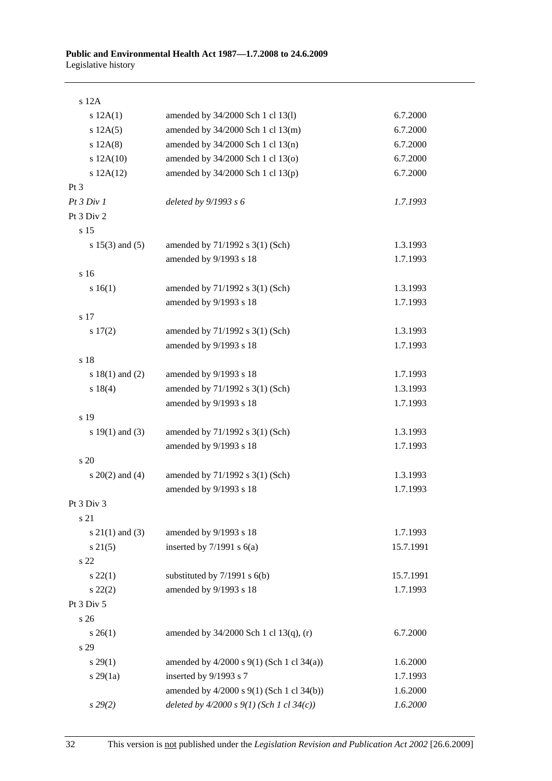| $s$ 12 $A$          |                                               |           |
|---------------------|-----------------------------------------------|-----------|
| s 12A(1)            | amended by 34/2000 Sch 1 cl 13(l)             | 6.7.2000  |
| s 12A(5)            | amended by 34/2000 Sch 1 cl 13(m)             | 6.7.2000  |
| s 12A(8)            | amended by 34/2000 Sch 1 cl 13(n)             | 6.7.2000  |
| s 12A(10)           | amended by 34/2000 Sch 1 cl 13(o)             | 6.7.2000  |
| s 12A(12)           | amended by 34/2000 Sch 1 cl 13(p)             | 6.7.2000  |
| $Pt\,3$             |                                               |           |
| Pt3 Div1            | deleted by $9/1993 s 6$                       | 1.7.1993  |
| Pt 3 Div 2          |                                               |           |
| s 15                |                                               |           |
| s $15(3)$ and $(5)$ | amended by 71/1992 s 3(1) (Sch)               | 1.3.1993  |
|                     | amended by 9/1993 s 18                        | 1.7.1993  |
| s 16                |                                               |           |
| s 16(1)             | amended by 71/1992 s 3(1) (Sch)               | 1.3.1993  |
|                     | amended by 9/1993 s 18                        | 1.7.1993  |
| s 17                |                                               |           |
| 17(2)               | amended by 71/1992 s 3(1) (Sch)               | 1.3.1993  |
|                     | amended by 9/1993 s 18                        | 1.7.1993  |
| s 18                |                                               |           |
| s $18(1)$ and $(2)$ | amended by 9/1993 s 18                        | 1.7.1993  |
| s 18(4)             | amended by 71/1992 s 3(1) (Sch)               | 1.3.1993  |
|                     | amended by 9/1993 s 18                        | 1.7.1993  |
| s 19                |                                               |           |
| s $19(1)$ and $(3)$ | amended by 71/1992 s 3(1) (Sch)               | 1.3.1993  |
|                     | amended by 9/1993 s 18                        | 1.7.1993  |
| s 20                |                                               |           |
| s $20(2)$ and $(4)$ | amended by 71/1992 s 3(1) (Sch)               | 1.3.1993  |
|                     | amended by 9/1993 s 18                        | 1.7.1993  |
| Pt 3 Div 3          |                                               |           |
| s 21                |                                               |           |
| $s \ 21(1)$ and (3) | amended by 9/1993 s 18                        | 1.7.1993  |
| $s \, 21(5)$        | inserted by $7/1991$ s $6(a)$                 | 15.7.1991 |
| s 22                |                                               |           |
| $s\,22(1)$          | substituted by $7/1991$ s $6(b)$              | 15.7.1991 |
| $s\ 22(2)$          | amended by 9/1993 s 18                        | 1.7.1993  |
| Pt 3 Div 5          |                                               |           |
| s 26                |                                               |           |
| $s \; 26(1)$        | amended by 34/2000 Sch 1 cl 13(q), (r)        | 6.7.2000  |
| s 29                |                                               |           |
| $s\,29(1)$          | amended by $4/2000$ s $9(1)$ (Sch 1 cl 34(a)) | 1.6.2000  |
| $s\,29(1a)$         | inserted by 9/1993 s 7                        | 1.7.1993  |
|                     | amended by 4/2000 s 9(1) (Sch 1 cl 34(b))     | 1.6.2000  |
| $s\,29(2)$          | deleted by $4/2000 s 9(1)$ (Sch 1 cl 34(c))   | 1.6.2000  |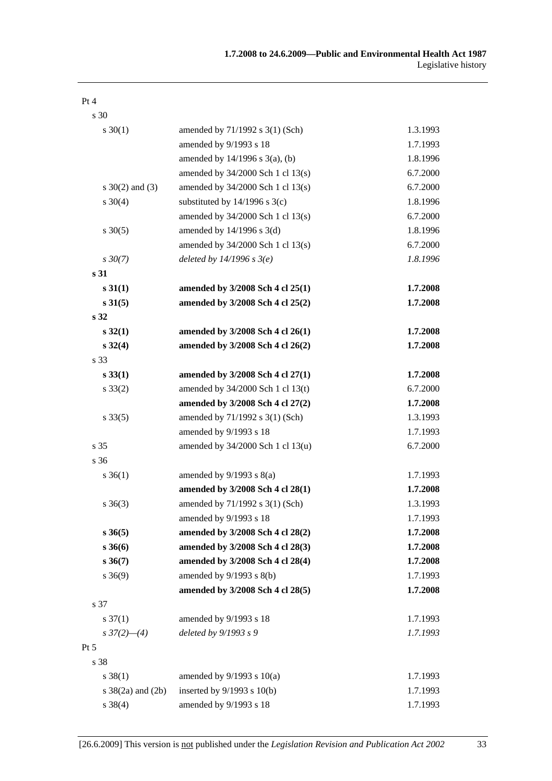| s 30                         |                                       |          |
|------------------------------|---------------------------------------|----------|
| $s \ 30(1)$                  | amended by 71/1992 s 3(1) (Sch)       | 1.3.1993 |
|                              | amended by 9/1993 s 18                | 1.7.1993 |
|                              | amended by $14/1996$ s $3(a)$ , (b)   | 1.8.1996 |
|                              | amended by $34/2000$ Sch 1 cl $13(s)$ | 6.7.2000 |
| s $30(2)$ and $(3)$          | amended by 34/2000 Sch 1 cl 13(s)     | 6.7.2000 |
| $s \ 30(4)$                  | substituted by $14/1996$ s $3(c)$     | 1.8.1996 |
|                              | amended by $34/2000$ Sch 1 cl $13(s)$ | 6.7.2000 |
| $s \, 30(5)$                 | amended by 14/1996 s 3(d)             | 1.8.1996 |
|                              | amended by $34/2000$ Sch 1 cl $13(s)$ | 6.7.2000 |
| $s \, 30(7)$                 | deleted by $14/1996 s 3(e)$           | 1.8.1996 |
| s <sub>31</sub>              |                                       |          |
| s 31(1)                      | amended by 3/2008 Sch 4 cl 25(1)      | 1.7.2008 |
| $s \, 31(5)$                 | amended by 3/2008 Sch 4 cl 25(2)      | 1.7.2008 |
| s <sub>32</sub>              |                                       |          |
| $s\,32(1)$                   | amended by 3/2008 Sch 4 cl 26(1)      | 1.7.2008 |
| $s \, 32(4)$                 | amended by 3/2008 Sch 4 cl 26(2)      | 1.7.2008 |
| s 33                         |                                       |          |
| $s\,33(1)$                   | amended by 3/2008 Sch 4 cl 27(1)      | 1.7.2008 |
| $s \, 33(2)$                 | amended by 34/2000 Sch 1 cl 13(t)     | 6.7.2000 |
|                              | amended by 3/2008 Sch 4 cl 27(2)      | 1.7.2008 |
| $s \, 33(5)$                 | amended by 71/1992 s 3(1) (Sch)       | 1.3.1993 |
|                              | amended by 9/1993 s 18                | 1.7.1993 |
| s <sub>35</sub>              | amended by 34/2000 Sch 1 cl 13(u)     | 6.7.2000 |
| s 36                         |                                       |          |
| $s \, 36(1)$                 | amended by $9/1993$ s $8(a)$          | 1.7.1993 |
|                              | amended by 3/2008 Sch 4 cl 28(1)      | 1.7.2008 |
| $s \; 36(3)$                 | amended by 71/1992 s 3(1) (Sch)       | 1.3.1993 |
|                              | amended by 9/1993 s 18                | 1.7.1993 |
| $s \, 36(5)$                 | amended by 3/2008 Sch 4 cl 28(2)      | 1.7.2008 |
| $s \, 36(6)$                 | amended by 3/2008 Sch 4 cl 28(3)      | 1.7.2008 |
| $s \, 36(7)$                 | amended by 3/2008 Sch 4 cl 28(4)      | 1.7.2008 |
| $s \ 36(9)$                  | amended by 9/1993 s 8(b)              | 1.7.1993 |
|                              | amended by 3/2008 Sch 4 cl 28(5)      | 1.7.2008 |
| s 37                         |                                       |          |
| $s \frac{37(1)}{2}$          | amended by 9/1993 s 18                | 1.7.1993 |
| $s \frac{37(2) - (4)}{2}$    | deleted by $9/1993 s 9$               | 1.7.1993 |
| $Pt\,5$                      |                                       |          |
| s 38                         |                                       |          |
| $s \, 38(1)$                 | amended by $9/1993$ s $10(a)$         | 1.7.1993 |
| $s \frac{38}{2a}$ and $(2b)$ | inserted by $9/1993$ s $10(b)$        | 1.7.1993 |
| $s \ 38(4)$                  | amended by 9/1993 s 18                | 1.7.1993 |

Pt 4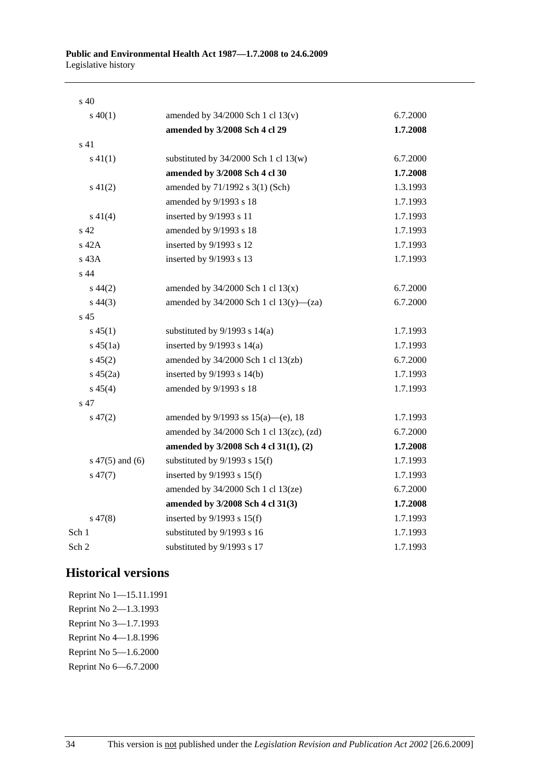| s 40               |                                             |          |
|--------------------|---------------------------------------------|----------|
| $s\ 40(1)$         | amended by $34/2000$ Sch 1 cl $13(v)$       | 6.7.2000 |
|                    | amended by 3/2008 Sch 4 cl 29               | 1.7.2008 |
| s 41               |                                             |          |
| $s\ 41(1)$         | substituted by $34/2000$ Sch 1 cl 13(w)     | 6.7.2000 |
|                    | amended by 3/2008 Sch 4 cl 30               | 1.7.2008 |
| $s\ 41(2)$         | amended by 71/1992 s 3(1) (Sch)             | 1.3.1993 |
|                    | amended by 9/1993 s 18                      | 1.7.1993 |
| $s\ 41(4)$         | inserted by 9/1993 s 11                     | 1.7.1993 |
| s 42               | amended by 9/1993 s 18                      | 1.7.1993 |
| s 42A              | inserted by 9/1993 s 12                     | 1.7.1993 |
| s 43A              | inserted by 9/1993 s 13                     | 1.7.1993 |
| s 44               |                                             |          |
| $s\,44(2)$         | amended by $34/2000$ Sch 1 cl $13(x)$       | 6.7.2000 |
| $s\,44(3)$         | amended by $34/2000$ Sch 1 cl $13(y)$ —(za) | 6.7.2000 |
| s 45               |                                             |          |
| $s\,45(1)$         | substituted by $9/1993$ s $14(a)$           | 1.7.1993 |
| $s\,45(1a)$        | inserted by $9/1993$ s $14(a)$              | 1.7.1993 |
| $s\,45(2)$         | amended by 34/2000 Sch 1 cl 13(zb)          | 6.7.2000 |
| $s\,45(2a)$        | inserted by $9/1993$ s $14(b)$              | 1.7.1993 |
| $s\,45(4)$         | amended by 9/1993 s 18                      | 1.7.1993 |
| s 47               |                                             |          |
| $s\,47(2)$         | amended by $9/1993$ ss $15(a)$ —(e), 18     | 1.7.1993 |
|                    | amended by 34/2000 Sch 1 cl 13(zc), (zd)    | 6.7.2000 |
|                    | amended by 3/2008 Sch 4 cl 31(1), (2)       | 1.7.2008 |
| $s\ 47(5)$ and (6) | substituted by $9/1993$ s $15(f)$           | 1.7.1993 |
| $s\,47(7)$         | inserted by $9/1993$ s $15(f)$              | 1.7.1993 |
|                    | amended by $34/2000$ Sch 1 cl $13(ze)$      | 6.7.2000 |
|                    | amended by 3/2008 Sch 4 cl 31(3)            | 1.7.2008 |
| $s\,47(8)$         | inserted by $9/1993$ s $15(f)$              | 1.7.1993 |
| Sch 1              | substituted by 9/1993 s 16                  | 1.7.1993 |
| Sch 2              | substituted by 9/1993 s 17                  | 1.7.1993 |
|                    |                                             |          |

## **Historical versions**

Reprint No 1—15.11.1991 Reprint No 2—1.3.1993 Reprint No 3—1.7.1993 Reprint No 4—1.8.1996 Reprint No 5—1.6.2000 Reprint No 6—6.7.2000